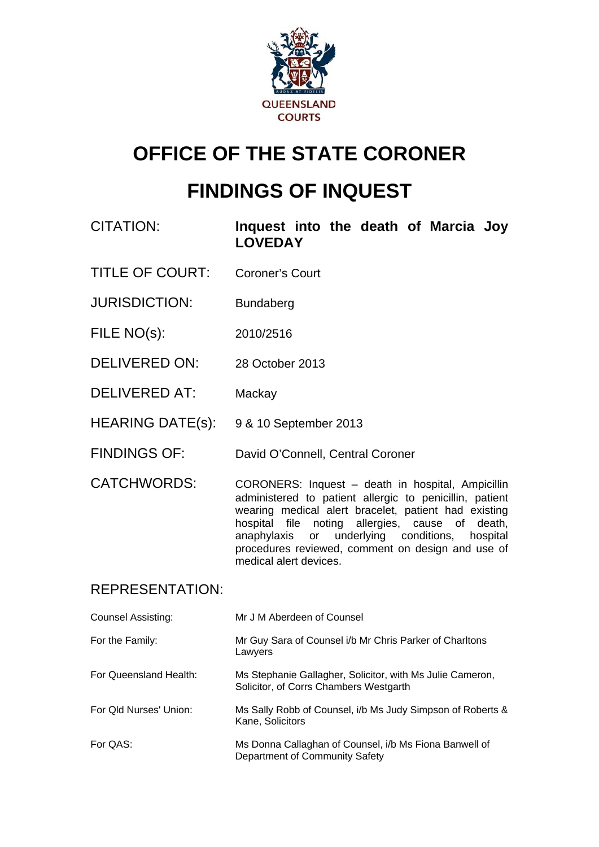

# **OFFICE OF THE STATE CORONER**

# **FINDINGS OF INQUEST**

CITATION: **Inquest into the death of Marcia Joy LOVEDAY** 

- TITLE OF COURT: Coroner's Court
- JURISDICTION: Bundaberg
- FILE NO(s): 2010/2516
- DELIVERED ON: 28 October 2013
- DELIVERED AT: Mackay
- HEARING DATE(s): 9 & 10 September 2013
- FINDINGS OF: David O'Connell, Central Coroner
- CATCHWORDS: CORONERS: Inquest death in hospital, Ampicillin administered to patient allergic to penicillin, patient wearing medical alert bracelet, patient had existing hospital file noting allergies, cause of death, anaphylaxis or underlying conditions, hospital procedures reviewed, comment on design and use of medical alert devices.

# REPRESENTATION:

| <b>Counsel Assisting:</b> | Mr J M Aberdeen of Counsel                                                                          |
|---------------------------|-----------------------------------------------------------------------------------------------------|
| For the Family:           | Mr Guy Sara of Counsel i/b Mr Chris Parker of Charltons<br>Lawyers                                  |
| For Queensland Health:    | Ms Stephanie Gallagher, Solicitor, with Ms Julie Cameron,<br>Solicitor, of Corrs Chambers Westgarth |
| For Old Nurses' Union:    | Ms Sally Robb of Counsel, i/b Ms Judy Simpson of Roberts &<br>Kane, Solicitors                      |
| For QAS:                  | Ms Donna Callaghan of Counsel, i/b Ms Fiona Banwell of<br>Department of Community Safety            |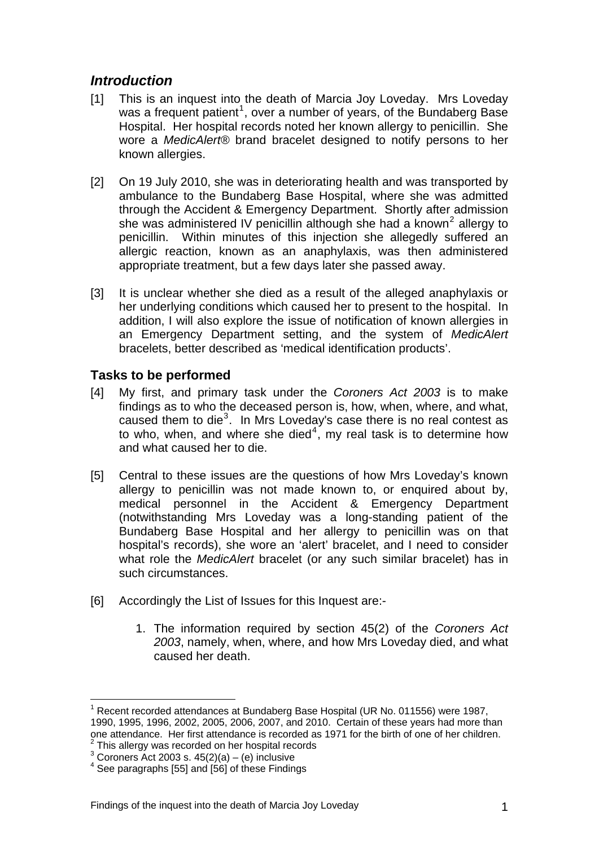# *Introduction*

- [1] This is an inquest into the death of Marcia Joy Loveday. Mrs Loveday was a frequent patient<sup>[1](#page-1-0)</sup>, over a number of years, of the Bundaberg Base Hospital. Her hospital records noted her known allergy to penicillin. She wore a *MedicAlert®* brand bracelet designed to notify persons to her known allergies.
- [2] On 19 July 2010, she was in deteriorating health and was transported by ambulance to the Bundaberg Base Hospital, where she was admitted through the Accident & Emergency Department. Shortly after admission she was administered IV penicillin although she had a known<sup>[2](#page-1-1)</sup> allergy to penicillin. Within minutes of this injection she allegedly suffered an allergic reaction, known as an anaphylaxis, was then administered appropriate treatment, but a few days later she passed away.
- [3] It is unclear whether she died as a result of the alleged anaphylaxis or her underlying conditions which caused her to present to the hospital. In addition, I will also explore the issue of notification of known allergies in an Emergency Department setting, and the system of *MedicAlert* bracelets, better described as 'medical identification products'.

# **Tasks to be performed**

- [4] My first, and primary task under the *Coroners Act 2003* is to make findings as to who the deceased person is, how, when, where, and what, caused them to die $3$ . In Mrs Loveday's case there is no real contest as to who, when, and where she died<sup>[4](#page-1-3)</sup>, my real task is to determine how and what caused her to die.
- [5] Central to these issues are the questions of how Mrs Loveday's known allergy to penicillin was not made known to, or enquired about by, medical personnel in the Accident & Emergency Department (notwithstanding Mrs Loveday was a long-standing patient of the Bundaberg Base Hospital and her allergy to penicillin was on that hospital's records), she wore an 'alert' bracelet, and I need to consider what role the *MedicAlert* bracelet (or any such similar bracelet) has in such circumstances.
- [6] Accordingly the List of Issues for this Inquest are:-
	- 1. The information required by section 45(2) of the *Coroners Act 2003*, namely, when, where, and how Mrs Loveday died, and what caused her death.

<span id="page-1-0"></span><sup>&</sup>lt;sup>1</sup> Recent recorded attendances at Bundaberg Base Hospital (UR No. 011556) were 1987, 1990, 1995, 1996, 2002, 2005, 2006, 2007, and 2010. Certain of these years had more than one attendance. Her first attendance is recorded as 1971 for the birth of one of her children.  $2$  This allergy was recorded on her hospital records

<span id="page-1-4"></span><span id="page-1-2"></span><span id="page-1-1"></span> $3$  Coroners Act 2003 s. 45(2)(a) – (e) inclusive

<span id="page-1-3"></span> $4$  See paragraphs [55] and [56] of these Findings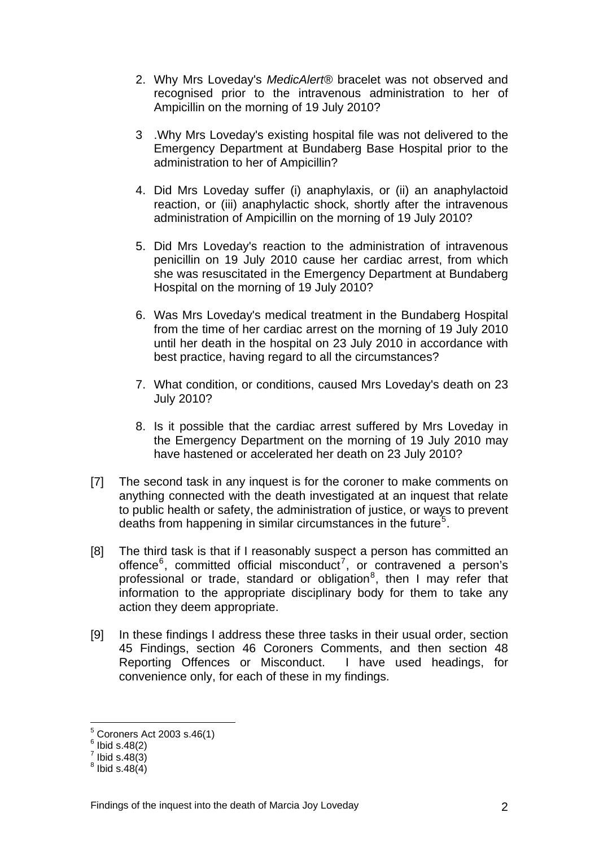- 2. Why Mrs Loveday's *MedicAlert®* bracelet was not observed and recognised prior to the intravenous administration to her of Ampicillin on the morning of 19 July 2010?
- 3 .Why Mrs Loveday's existing hospital file was not delivered to the Emergency Department at Bundaberg Base Hospital prior to the administration to her of Ampicillin?
- 4. Did Mrs Loveday suffer (i) anaphylaxis, or (ii) an anaphylactoid reaction, or (iii) anaphylactic shock, shortly after the intravenous administration of Ampicillin on the morning of 19 July 2010?
- 5. Did Mrs Loveday's reaction to the administration of intravenous penicillin on 19 July 2010 cause her cardiac arrest, from which she was resuscitated in the Emergency Department at Bundaberg Hospital on the morning of 19 July 2010?
- 6. Was Mrs Loveday's medical treatment in the Bundaberg Hospital from the time of her cardiac arrest on the morning of 19 July 2010 until her death in the hospital on 23 July 2010 in accordance with best practice, having regard to all the circumstances?
- 7. What condition, or conditions, caused Mrs Loveday's death on 23 July 2010?
- 8. Is it possible that the cardiac arrest suffered by Mrs Loveday in the Emergency Department on the morning of 19 July 2010 may have hastened or accelerated her death on 23 July 2010?
- [7] The second task in any inquest is for the coroner to make comments on anything connected with the death investigated at an inquest that relate to public health or safety, the administration of justice, or ways to prevent deaths from happening in similar circumstances in the future<sup>[5](#page-1-4)</sup>.
- [8] The third task is that if I reasonably suspect a person has committed an offence $6$ , committed official misconduct<sup>[7](#page-2-1)</sup>, or contravened a person's professional or trade, standard or obligation<sup>[8](#page-2-2)</sup>, then I may refer that information to the appropriate disciplinary body for them to take any action they deem appropriate.
- [9] In these findings I address these three tasks in their usual order, section 45 Findings, section 46 Coroners Comments, and then section 48 Reporting Offences or Misconduct. I have used headings, for convenience only, for each of these in my findings.

 5 Coroners Act 2003 s.46(1)

 $<sup>6</sup>$  Ibid s.48(2)</sup>

<span id="page-2-2"></span><span id="page-2-1"></span><span id="page-2-0"></span> $<sup>7</sup>$  Ibid s.48(3)</sup>

 $^8$  Ibid s.48(4)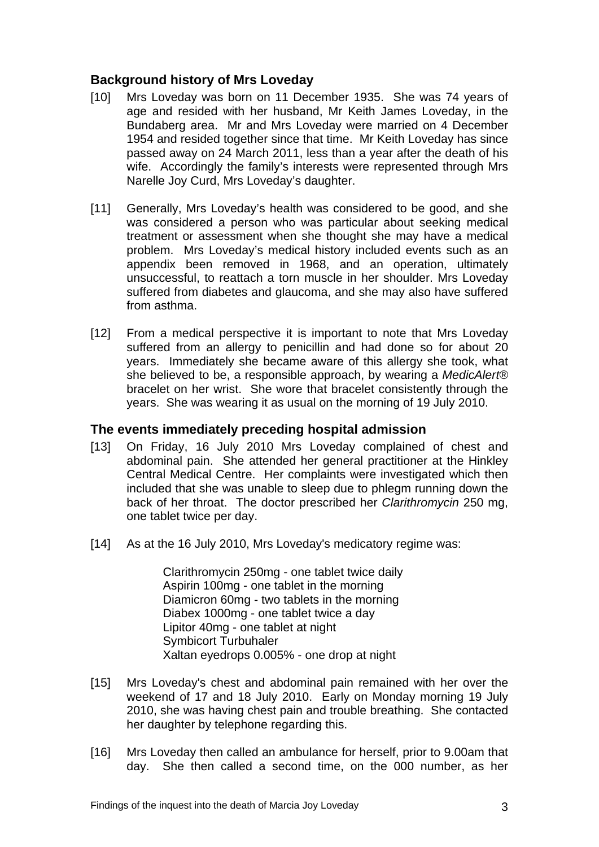### **Background history of Mrs Loveday**

- [10] Mrs Loveday was born on 11 December 1935. She was 74 years of age and resided with her husband, Mr Keith James Loveday, in the Bundaberg area. Mr and Mrs Loveday were married on 4 December 1954 and resided together since that time. Mr Keith Loveday has since passed away on 24 March 2011, less than a year after the death of his wife. Accordingly the family's interests were represented through Mrs Narelle Joy Curd, Mrs Loveday's daughter.
- [11] Generally, Mrs Loveday's health was considered to be good, and she was considered a person who was particular about seeking medical treatment or assessment when she thought she may have a medical problem. Mrs Loveday's medical history included events such as an appendix been removed in 1968, and an operation, ultimately unsuccessful, to reattach a torn muscle in her shoulder. Mrs Loveday suffered from diabetes and glaucoma, and she may also have suffered from asthma.
- [12] From a medical perspective it is important to note that Mrs Loveday suffered from an allergy to penicillin and had done so for about 20 years. Immediately she became aware of this allergy she took, what she believed to be, a responsible approach, by wearing a *MedicAlert®* bracelet on her wrist. She wore that bracelet consistently through the years. She was wearing it as usual on the morning of 19 July 2010.

#### **The events immediately preceding hospital admission**

- [13] On Friday, 16 July 2010 Mrs Loveday complained of chest and abdominal pain. She attended her general practitioner at the Hinkley Central Medical Centre. Her complaints were investigated which then included that she was unable to sleep due to phlegm running down the back of her throat. The doctor prescribed her *Clarithromycin* 250 mg, one tablet twice per day.
- [14] As at the 16 July 2010, Mrs Loveday's medicatory regime was:

 Clarithromycin 250mg - one tablet twice daily Aspirin 100mg - one tablet in the morning Diamicron 60mg - two tablets in the morning Diabex 1000mg - one tablet twice a day Lipitor 40mg - one tablet at night Symbicort Turbuhaler Xaltan eyedrops 0.005% - one drop at night

- [15] Mrs Loveday's chest and abdominal pain remained with her over the weekend of 17 and 18 July 2010. Early on Monday morning 19 July 2010, she was having chest pain and trouble breathing. She contacted her daughter by telephone regarding this.
- [16] Mrs Loveday then called an ambulance for herself, prior to 9.00am that day. She then called a second time, on the 000 number, as her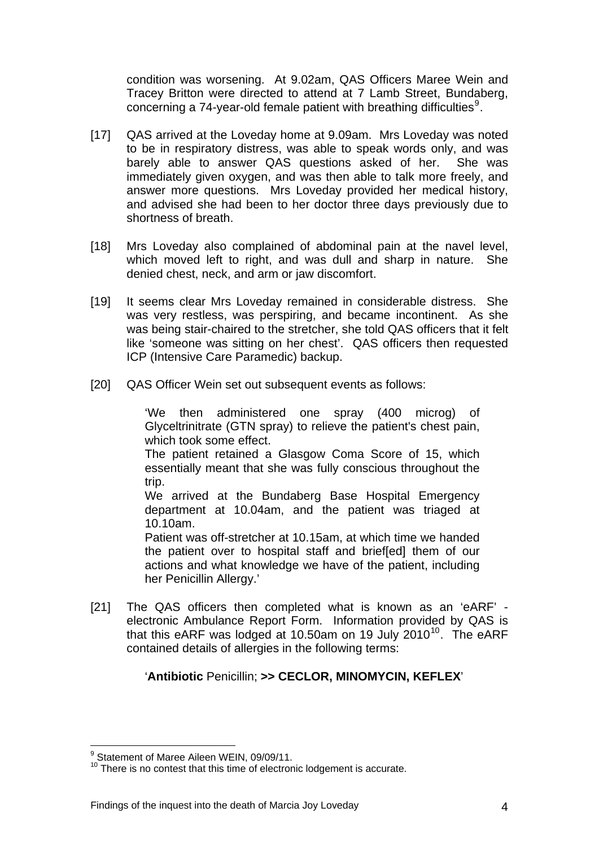condition was worsening. At 9.02am, QAS Officers Maree Wein and Tracey Britton were directed to attend at 7 Lamb Street, Bundaberg, concerning a 74-year-old female patient with breathing difficulties $9$ .

- [17] QAS arrived at the Loveday home at 9.09am. Mrs Loveday was noted to be in respiratory distress, was able to speak words only, and was barely able to answer QAS questions asked of her. She was immediately given oxygen, and was then able to talk more freely, and answer more questions. Mrs Loveday provided her medical history, and advised she had been to her doctor three days previously due to shortness of breath.
- [18] Mrs Loveday also complained of abdominal pain at the navel level, which moved left to right, and was dull and sharp in nature. She denied chest, neck, and arm or jaw discomfort.
- [19] It seems clear Mrs Loveday remained in considerable distress. She was very restless, was perspiring, and became incontinent. As she was being stair-chaired to the stretcher, she told QAS officers that it felt like 'someone was sitting on her chest'. QAS officers then requested ICP (Intensive Care Paramedic) backup.
- [20] QAS Officer Wein set out subsequent events as follows:

'We then administered one spray (400 microg) of Glyceltrinitrate (GTN spray) to relieve the patient's chest pain, which took some effect.

The patient retained a Glasgow Coma Score of 15, which essentially meant that she was fully conscious throughout the trip.

We arrived at the Bundaberg Base Hospital Emergency department at 10.04am, and the patient was triaged at 10.10am.

Patient was off-stretcher at 10.15am, at which time we handed the patient over to hospital staff and brief[ed] them of our actions and what knowledge we have of the patient, including her Penicillin Allergy.'

<span id="page-4-1"></span>[21] The QAS officers then completed what is known as an 'eARF' electronic Ambulance Report Form. Information provided by QAS is that this eARF was lodged at [10](#page-4-0).50am on 19 July 2010<sup>10</sup>. The eARF contained details of allergies in the following terms:

#### '**Antibiotic** Penicillin; **>> CECLOR, MINOMYCIN, KEFLEX**'

<sup>&</sup>lt;u>.</u> <sup>9</sup> Statement of Maree Aileen WEIN, 09/09/11.

<span id="page-4-0"></span> $10$  There is no contest that this time of electronic lodgement is accurate.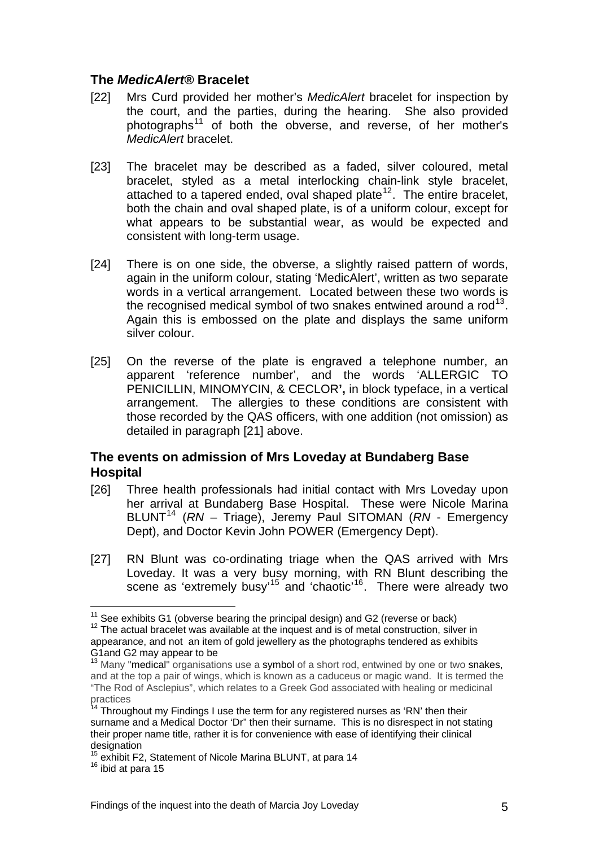#### **The** *MedicAlert®* **Bracelet**

- [22] Mrs Curd provided her mother's *MedicAlert* bracelet for inspection by the court, and the parties, during the hearing. She also provided photographs<sup>[11](#page-4-1)</sup> of both the obverse, and reverse, of her mother's *MedicAlert* bracelet.
- [23] The bracelet may be described as a faded, silver coloured, metal bracelet, styled as a metal interlocking chain-link style bracelet, attached to a tapered ended, oval shaped plate<sup>[12](#page-5-0)</sup>. The entire bracelet, both the chain and oval shaped plate, is of a uniform colour, except for what appears to be substantial wear, as would be expected and consistent with long-term usage.
- [24] There is on one side, the obverse, a slightly raised pattern of words, again in the uniform colour, stating 'MedicAlert', written as two separate words in a vertical arrangement. Located between these two words is the recognised medical symbol of two snakes entwined around a  $rod<sup>13</sup>$  $rod<sup>13</sup>$  $rod<sup>13</sup>$ . Again this is embossed on the plate and displays the same uniform silver colour.
- [25] On the reverse of the plate is engraved a telephone number, an apparent 'reference number', and the words 'ALLERGIC TO PENICILLIN, MINOMYCIN, & CECLOR**',** in block typeface, in a vertical arrangement.The allergies to these conditions are consistent with those recorded by the QAS officers, with one addition (not omission) as detailed in paragraph [21] above.

## **The events on admission of Mrs Loveday at Bundaberg Base Hospital**

- [26] Three health professionals had initial contact with Mrs Loveday upon her arrival at Bundaberg Base Hospital. These were Nicole Marina BLUNT[14](#page-5-2) (*RN* – Triage), Jeremy Paul SITOMAN (*RN* - Emergency Dept), and Doctor Kevin John POWER (Emergency Dept).
- [27] RN Blunt was co-ordinating triage when the QAS arrived with Mrs Loveday. It was a very busy morning, with RN Blunt describing the scene as 'extremely busy'<sup>[15](#page-5-3)</sup> and 'chaotic'<sup>[16](#page-5-4)</sup>. There were already two

<span id="page-5-0"></span><sup>&</sup>lt;sup>11</sup> See exhibits G1 (obverse bearing the principal design) and G2 (reverse or back)  $12$  The actual bracelet was available at the inquest and is of metal construction, silver in appearance, and not an item of gold jewellery as the photographs tendered as exhibits G1and G2 may appear to be

<span id="page-5-1"></span><sup>&</sup>lt;sup>13</sup> Many "medical" organisations use a symbol of a short rod, entwined by one or two snakes, and at the top a pair of wings, which is known as a caduceus or magic wand. It is termed the "The Rod of Asclepius", which relates to a Greek God associated with healing or medicinal practices

<span id="page-5-2"></span> $14$  Throughout my Findings I use the term for any registered nurses as 'RN' then their surname and a Medical Doctor 'Dr" then their surname. This is no disrespect in not stating their proper name title, rather it is for convenience with ease of identifying their clinical designation

<span id="page-5-3"></span><sup>&</sup>lt;sup>15</sup> exhibit F2, Statement of Nicole Marina BLUNT, at para 14<br><sup>16</sup> ibid at para 15

<span id="page-5-4"></span>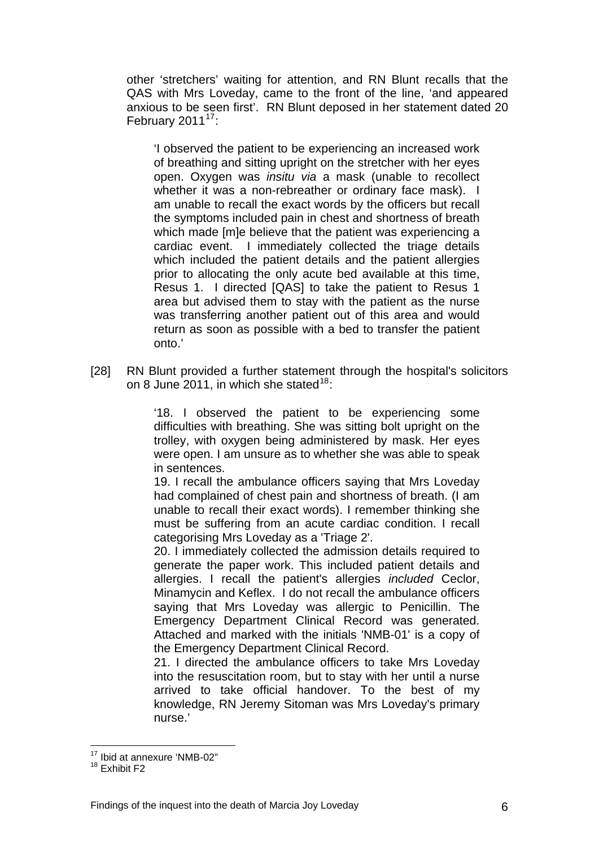other 'stretchers' waiting for attention, and RN Blunt recalls that the QAS with Mrs Loveday, came to the front of the line, 'and appeared anxious to be seen first'. RN Blunt deposed in her statement dated 20 February 2011 $17$ :

'I observed the patient to be experiencing an increased work of breathing and sitting upright on the stretcher with her eyes open. Oxygen was *insitu via* a mask (unable to recollect whether it was a non-rebreather or ordinary face mask). I am unable to recall the exact words by the officers but recall the symptoms included pain in chest and shortness of breath which made [m]e believe that the patient was experiencing a cardiac event. I immediately collected the triage details which included the patient details and the patient allergies prior to allocating the only acute bed available at this time, Resus 1. I directed [QAS] to take the patient to Resus 1 area but advised them to stay with the patient as the nurse was transferring another patient out of this area and would return as soon as possible with a bed to transfer the patient onto.'

[28] RN Blunt provided a further statement through the hospital's solicitors on 8 June 2011, in which she stated $18$ :

> '18. I observed the patient to be experiencing some difficulties with breathing. She was sitting bolt upright on the trolley, with oxygen being administered by mask. Her eyes were open. I am unsure as to whether she was able to speak in sentences.

> 19. I recall the ambulance officers saying that Mrs Loveday had complained of chest pain and shortness of breath. (I am unable to recall their exact words). I remember thinking she must be suffering from an acute cardiac condition. I recall categorising Mrs Loveday as a 'Triage 2'.

> 20. I immediately collected the admission details required to generate the paper work. This included patient details and allergies. I recall the patient's allergies *included* Ceclor, Minamycin and Keflex. I do not recall the ambulance officers saying that Mrs Loveday was allergic to Penicillin. The Emergency Department Clinical Record was generated. Attached and marked with the initials 'NMB-01' is a copy of the Emergency Department Clinical Record.

> 21. I directed the ambulance officers to take Mrs Loveday into the resuscitation room, but to stay with her until a nurse arrived to take official handover. To the best of my knowledge, RN Jeremy Sitoman was Mrs Loveday's primary nurse.'

<u>.</u>

<sup>17</sup> Ibid at annexure 'NMB-02"

<span id="page-6-0"></span><sup>&</sup>lt;sup>18</sup> Exhibit F<sub>2</sub>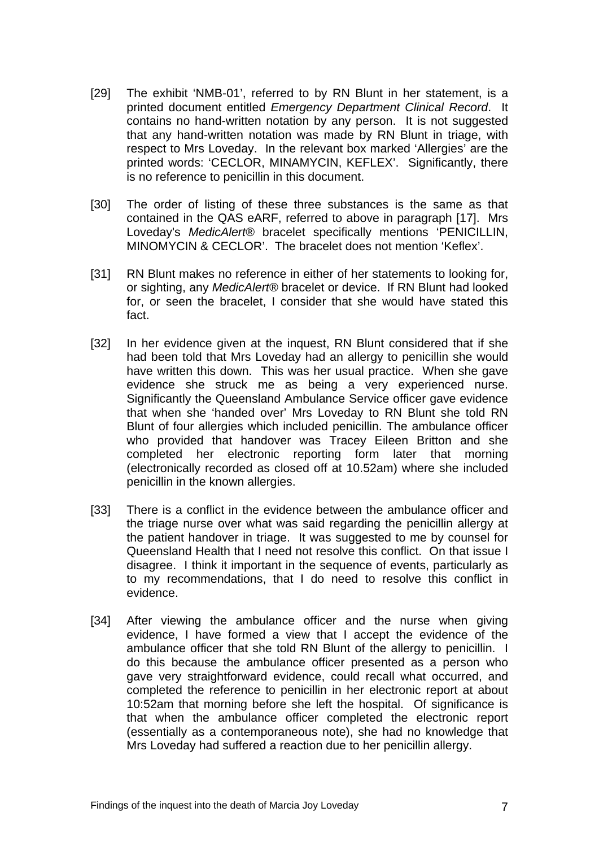- [29] The exhibit 'NMB-01', referred to by RN Blunt in her statement, is a printed document entitled *Emergency Department Clinical Record*. It contains no hand-written notation by any person. It is not suggested that any hand-written notation was made by RN Blunt in triage, with respect to Mrs Loveday. In the relevant box marked 'Allergies' are the printed words: 'CECLOR, MINAMYCIN, KEFLEX'. Significantly, there is no reference to penicillin in this document.
- [30] The order of listing of these three substances is the same as that contained in the QAS eARF, referred to above in paragraph [17]. Mrs Loveday's *MedicAlert®* bracelet specifically mentions 'PENICILLIN, MINOMYCIN & CECLOR'. The bracelet does not mention 'Keflex'.
- [31] RN Blunt makes no reference in either of her statements to looking for, or sighting, any *MedicAlert®* bracelet or device. If RN Blunt had looked for, or seen the bracelet, I consider that she would have stated this fact.
- [32] In her evidence given at the inquest, RN Blunt considered that if she had been told that Mrs Loveday had an allergy to penicillin she would have written this down. This was her usual practice. When she gave evidence she struck me as being a very experienced nurse. Significantly the Queensland Ambulance Service officer gave evidence that when she 'handed over' Mrs Loveday to RN Blunt she told RN Blunt of four allergies which included penicillin. The ambulance officer who provided that handover was Tracey Eileen Britton and she completed her electronic reporting form later that morning (electronically recorded as closed off at 10.52am) where she included penicillin in the known allergies.
- [33] There is a conflict in the evidence between the ambulance officer and the triage nurse over what was said regarding the penicillin allergy at the patient handover in triage. It was suggested to me by counsel for Queensland Health that I need not resolve this conflict. On that issue I disagree. I think it important in the sequence of events, particularly as to my recommendations, that I do need to resolve this conflict in evidence.
- [34] After viewing the ambulance officer and the nurse when giving evidence, I have formed a view that I accept the evidence of the ambulance officer that she told RN Blunt of the allergy to penicillin. I do this because the ambulance officer presented as a person who gave very straightforward evidence, could recall what occurred, and completed the reference to penicillin in her electronic report at about 10:52am that morning before she left the hospital. Of significance is that when the ambulance officer completed the electronic report (essentially as a contemporaneous note), she had no knowledge that Mrs Loveday had suffered a reaction due to her penicillin allergy.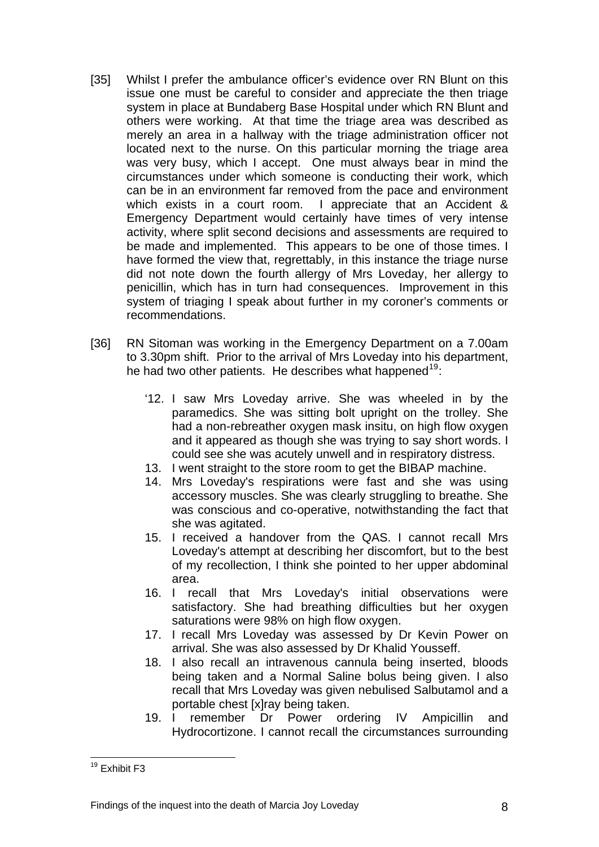- [35] Whilst I prefer the ambulance officer's evidence over RN Blunt on this issue one must be careful to consider and appreciate the then triage system in place at Bundaberg Base Hospital under which RN Blunt and others were working. At that time the triage area was described as merely an area in a hallway with the triage administration officer not located next to the nurse. On this particular morning the triage area was very busy, which I accept. One must always bear in mind the circumstances under which someone is conducting their work, which can be in an environment far removed from the pace and environment which exists in a court room. I appreciate that an Accident & Emergency Department would certainly have times of very intense activity, where split second decisions and assessments are required to be made and implemented. This appears to be one of those times. I have formed the view that, regrettably, in this instance the triage nurse did not note down the fourth allergy of Mrs Loveday, her allergy to penicillin, which has in turn had consequences. Improvement in this system of triaging I speak about further in my coroner's comments or recommendations.
- [36] RN Sitoman was working in the Emergency Department on a 7.00am to 3.30pm shift. Prior to the arrival of Mrs Loveday into his department, he had two other patients. He describes what happened  $19$ :
	- '12. I saw Mrs Loveday arrive. She was wheeled in by the paramedics. She was sitting bolt upright on the trolley. She had a non-rebreather oxygen mask insitu, on high flow oxygen and it appeared as though she was trying to say short words. I could see she was acutely unwell and in respiratory distress.
	- 13. I went straight to the store room to get the BIBAP machine.
	- 14. Mrs Loveday's respirations were fast and she was using accessory muscles. She was clearly struggling to breathe. She was conscious and co-operative, notwithstanding the fact that she was agitated.
	- 15. I received a handover from the QAS. I cannot recall Mrs Loveday's attempt at describing her discomfort, but to the best of my recollection, I think she pointed to her upper abdominal area.
	- 16. I recall that Mrs Loveday's initial observations were satisfactory. She had breathing difficulties but her oxygen saturations were 98% on high flow oxygen.
	- 17. I recall Mrs Loveday was assessed by Dr Kevin Power on arrival. She was also assessed by Dr Khalid Yousseff.
	- 18. I also recall an intravenous cannula being inserted, bloods being taken and a Normal Saline bolus being given. I also recall that Mrs Loveday was given nebulised Salbutamol and a portable chest [x]ray being taken.
	- 19. I remember Dr Power ordering IV Ampicillin and Hydrocortizone. I cannot recall the circumstances surrounding

<span id="page-8-0"></span><sup>1</sup> <sup>19</sup> Exhibit F3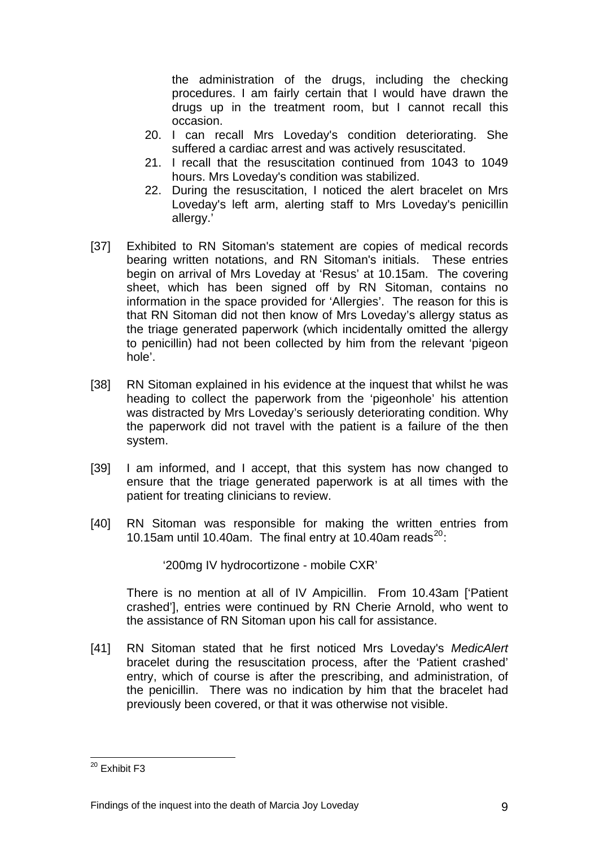the administration of the drugs, including the checking procedures. I am fairly certain that I would have drawn the drugs up in the treatment room, but I cannot recall this occasion.

- 20. I can recall Mrs Loveday's condition deteriorating. She suffered a cardiac arrest and was actively resuscitated.
- 21. I recall that the resuscitation continued from 1043 to 1049 hours. Mrs Loveday's condition was stabilized.
- 22. During the resuscitation, I noticed the alert bracelet on Mrs Loveday's left arm, alerting staff to Mrs Loveday's penicillin allergy.'
- [37] Exhibited to RN Sitoman's statement are copies of medical records bearing written notations, and RN Sitoman's initials. These entries begin on arrival of Mrs Loveday at 'Resus' at 10.15am. The covering sheet, which has been signed off by RN Sitoman, contains no information in the space provided for 'Allergies'. The reason for this is that RN Sitoman did not then know of Mrs Loveday's allergy status as the triage generated paperwork (which incidentally omitted the allergy to penicillin) had not been collected by him from the relevant 'pigeon hole'.
- [38] RN Sitoman explained in his evidence at the inquest that whilst he was heading to collect the paperwork from the 'pigeonhole' his attention was distracted by Mrs Loveday's seriously deteriorating condition. Why the paperwork did not travel with the patient is a failure of the then system.
- [39] I am informed, and I accept, that this system has now changed to ensure that the triage generated paperwork is at all times with the patient for treating clinicians to review.
- [40] RN Sitoman was responsible for making the written entries from 10.15am until 10.40am. The final entry at 10.40am reads<sup>[20](#page-8-0)</sup>:

'200mg IV hydrocortizone - mobile CXR'

There is no mention at all of IV Ampicillin. From 10.43am ['Patient crashed'], entries were continued by RN Cherie Arnold, who went to the assistance of RN Sitoman upon his call for assistance.

[41] RN Sitoman stated that he first noticed Mrs Loveday's *MedicAlert* bracelet during the resuscitation process, after the 'Patient crashed' entry, which of course is after the prescribing, and administration, of the penicillin. There was no indication by him that the bracelet had previously been covered, or that it was otherwise not visible.

<span id="page-9-0"></span><sup>1</sup> <sup>20</sup> Exhibit F3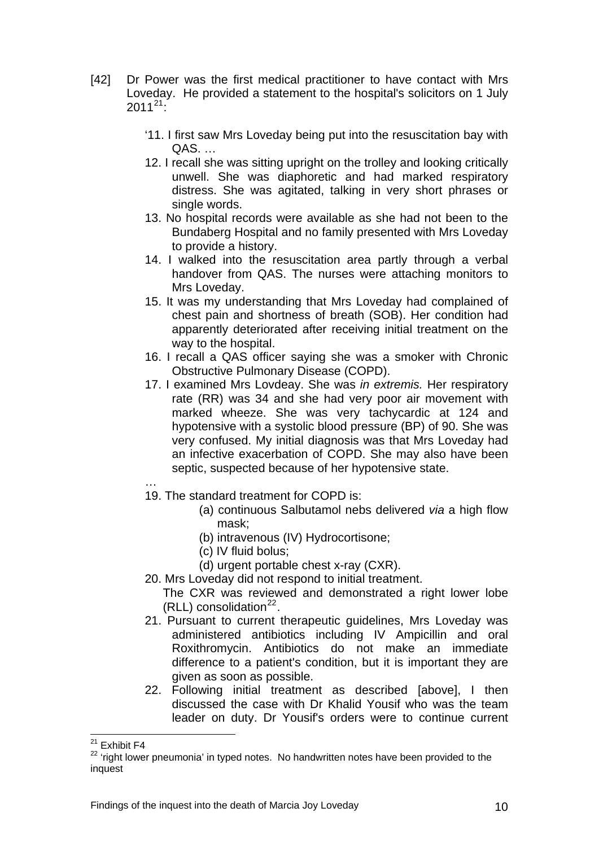- [42] Dr Power was the first medical practitioner to have contact with Mrs Loveday. He provided a statement to the hospital's solicitors on 1 July  $2011^{21}$  $2011^{21}$  $2011^{21}$ 
	- '11. I first saw Mrs Loveday being put into the resuscitation bay with QAS. …
	- 12. I recall she was sitting upright on the trolley and looking critically unwell. She was diaphoretic and had marked respiratory distress. She was agitated, talking in very short phrases or single words.
	- 13. No hospital records were available as she had not been to the Bundaberg Hospital and no family presented with Mrs Loveday to provide a history.
	- 14. I walked into the resuscitation area partly through a verbal handover from QAS. The nurses were attaching monitors to Mrs Loveday.
	- 15. It was my understanding that Mrs Loveday had complained of chest pain and shortness of breath (SOB). Her condition had apparently deteriorated after receiving initial treatment on the way to the hospital.
	- 16. I recall a QAS officer saying she was a smoker with Chronic Obstructive Pulmonary Disease (COPD).
	- 17. I examined Mrs Lovdeay. She was *in extremis.* Her respiratory rate (RR) was 34 and she had very poor air movement with marked wheeze. She was very tachycardic at 124 and hypotensive with a systolic blood pressure (BP) of 90. She was very confused. My initial diagnosis was that Mrs Loveday had an infective exacerbation of COPD. She may also have been septic, suspected because of her hypotensive state.
	- …
	- 19. The standard treatment for COPD is:
		- (a) continuous Salbutamol nebs delivered *via* a high flow mask;
		- (b) intravenous (IV) Hydrocortisone;
		- (c) IV fluid bolus;
		- (d) urgent portable chest x-ray (CXR).
	- 20. Mrs Loveday did not respond to initial treatment.
		- The CXR was reviewed and demonstrated a right lower lobe (RLL) consolidation $^{22}$  $^{22}$  $^{22}$ .
	- 21. Pursuant to current therapeutic guidelines, Mrs Loveday was administered antibiotics including IV Ampicillin and oral Roxithromycin. Antibiotics do not make an immediate difference to a patient's condition, but it is important they are given as soon as possible.
	- 22. Following initial treatment as described [above], I then discussed the case with Dr Khalid Yousif who was the team leader on duty. Dr Yousif's orders were to continue current

<sup>1</sup> <sup>21</sup> Exhibit F4

<span id="page-10-1"></span><span id="page-10-0"></span><sup>&</sup>lt;sup>22</sup> 'right lower pneumonia' in typed notes. No handwritten notes have been provided to the inquest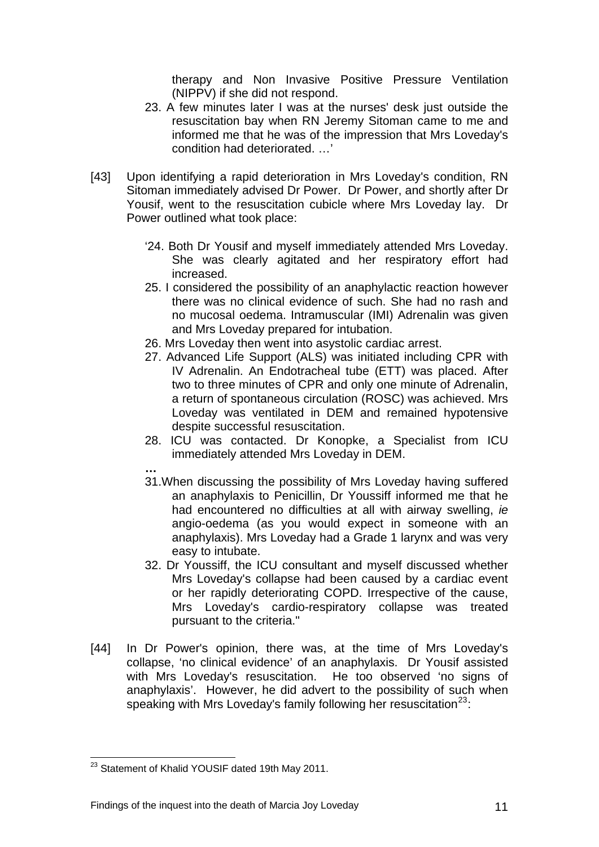therapy and Non Invasive Positive Pressure Ventilation (NIPPV) if she did not respond.

- 23. A few minutes later I was at the nurses' desk just outside the resuscitation bay when RN Jeremy Sitoman came to me and informed me that he was of the impression that Mrs Loveday's condition had deteriorated. …'
- [43] Upon identifying a rapid deterioration in Mrs Loveday's condition, RN Sitoman immediately advised Dr Power. Dr Power, and shortly after Dr Yousif, went to the resuscitation cubicle where Mrs Loveday lay. Dr Power outlined what took place:
	- '24. Both Dr Yousif and myself immediately attended Mrs Loveday. She was clearly agitated and her respiratory effort had increased.
	- 25. I considered the possibility of an anaphylactic reaction however there was no clinical evidence of such. She had no rash and no mucosal oedema. Intramuscular (IMI) Adrenalin was given and Mrs Loveday prepared for intubation.
	- 26. Mrs Loveday then went into asystolic cardiac arrest.
	- 27. Advanced Life Support (ALS) was initiated including CPR with IV Adrenalin. An Endotracheal tube (ETT) was placed. After two to three minutes of CPR and only one minute of Adrenalin, a return of spontaneous circulation (ROSC) was achieved. Mrs Loveday was ventilated in DEM and remained hypotensive despite successful resuscitation.
	- 28. ICU was contacted. Dr Konopke, a Specialist from ICU immediately attended Mrs Loveday in DEM.
	- **…**
	- 31.When discussing the possibility of Mrs Loveday having suffered an anaphylaxis to Penicillin, Dr Youssiff informed me that he had encountered no difficulties at all with airway swelling, *ie*  angio-oedema (as you would expect in someone with an anaphylaxis). Mrs Loveday had a Grade 1 larynx and was very easy to intubate.
	- 32. Dr Youssiff, the ICU consultant and myself discussed whether Mrs Loveday's collapse had been caused by a cardiac event or her rapidly deteriorating COPD. Irrespective of the cause, Mrs Loveday's cardio-respiratory collapse was treated pursuant to the criteria."
- <span id="page-11-0"></span>[44] In Dr Power's opinion, there was, at the time of Mrs Loveday's collapse, 'no clinical evidence' of an anaphylaxis. Dr Yousif assisted with Mrs Loveday's resuscitation. He too observed 'no signs of anaphylaxis'. However, he did advert to the possibility of such when speaking with Mrs Loveday's family following her resuscitation<sup>[23](#page-10-1)</sup>:

<sup>1</sup> <sup>23</sup> Statement of Khalid YOUSIF dated 19th May 2011.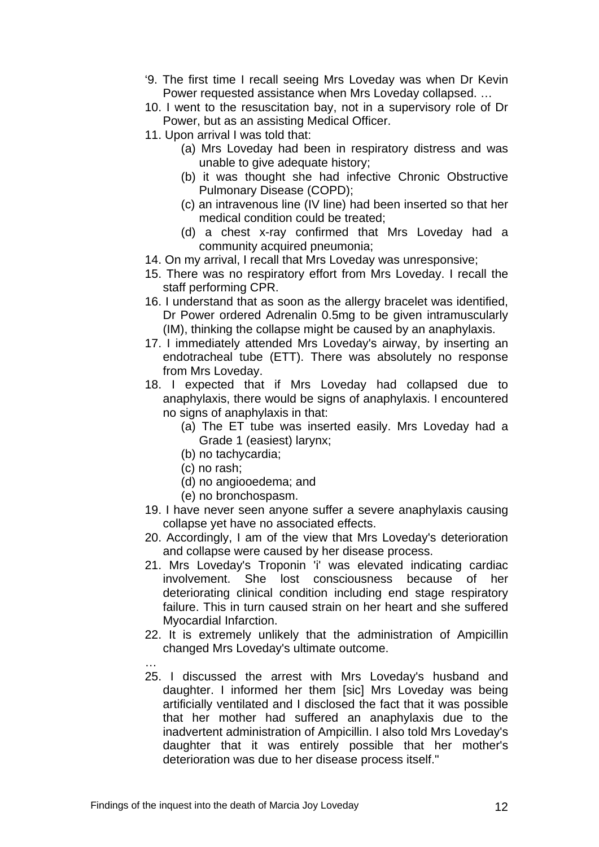- '9. The first time I recall seeing Mrs Loveday was when Dr Kevin Power requested assistance when Mrs Loveday collapsed. …
- 10. I went to the resuscitation bay, not in a supervisory role of Dr Power, but as an assisting Medical Officer.
- 11. Upon arrival I was told that:
	- (a) Mrs Loveday had been in respiratory distress and was unable to give adequate history;
	- (b) it was thought she had infective Chronic Obstructive Pulmonary Disease (COPD);
	- (c) an intravenous line (IV line) had been inserted so that her medical condition could be treated;
	- (d) a chest x-ray confirmed that Mrs Loveday had a community acquired pneumonia;
- 14. On my arrival, I recall that Mrs Loveday was unresponsive;
- 15. There was no respiratory effort from Mrs Loveday. I recall the staff performing CPR.
- 16. I understand that as soon as the allergy bracelet was identified, Dr Power ordered Adrenalin 0.5mg to be given intramuscularly (IM), thinking the collapse might be caused by an anaphylaxis.
- 17. I immediately attended Mrs Loveday's airway, by inserting an endotracheal tube (ETT). There was absolutely no response from Mrs Loveday.
- 18. I expected that if Mrs Loveday had collapsed due to anaphylaxis, there would be signs of anaphylaxis. I encountered no signs of anaphylaxis in that:
	- (a) The ET tube was inserted easily. Mrs Loveday had a Grade 1 (easiest) larynx;
	- (b) no tachycardia;
	- (c) no rash;
	- (d) no angiooedema; and
	- (e) no bronchospasm.
- 19. I have never seen anyone suffer a severe anaphylaxis causing collapse yet have no associated effects.
- 20. Accordingly, I am of the view that Mrs Loveday's deterioration and collapse were caused by her disease process.
- 21. Mrs Loveday's Troponin 'i' was elevated indicating cardiac involvement. She lost consciousness because of her deteriorating clinical condition including end stage respiratory failure. This in turn caused strain on her heart and she suffered Myocardial Infarction.
- 22. It is extremely unlikely that the administration of Ampicillin changed Mrs Loveday's ultimate outcome.
- … 25. I discussed the arrest with Mrs Loveday's husband and daughter. I informed her them [sic] Mrs Loveday was being artificially ventilated and I disclosed the fact that it was possible that her mother had suffered an anaphylaxis due to the inadvertent administration of Ampicillin. I also told Mrs Loveday's daughter that it was entirely possible that her mother's deterioration was due to her disease process itself."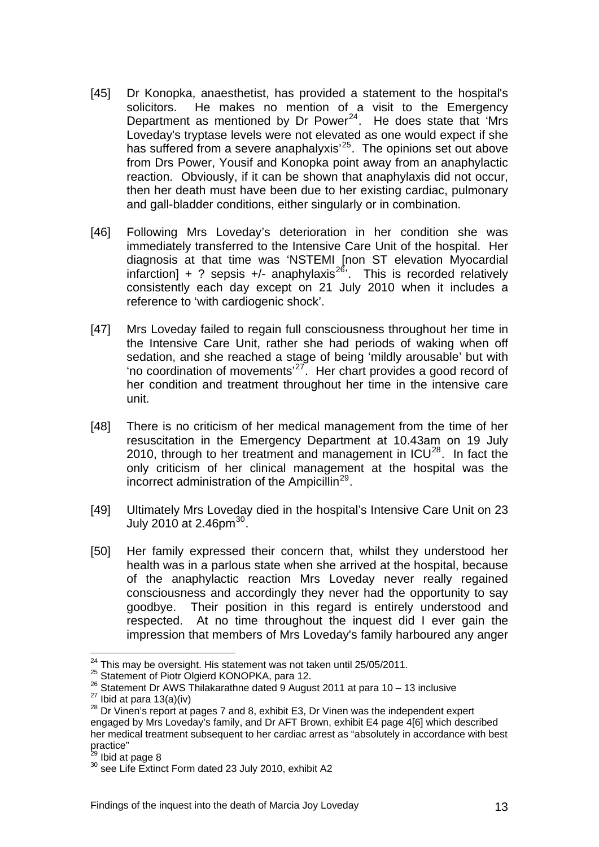- [45] Dr Konopka, anaesthetist, has provided a statement to the hospital's solicitors. He makes no mention of a visit to the Emergency Department as mentioned by Dr Power $^{24}$  $^{24}$  $^{24}$ . He does state that 'Mrs Loveday's tryptase levels were not elevated as one would expect if she has suffered from a severe anaphalyxis<sup>'[25](#page-13-0)</sup>. The opinions set out above from Drs Power, Yousif and Konopka point away from an anaphylactic reaction. Obviously, if it can be shown that anaphylaxis did not occur, then her death must have been due to her existing cardiac, pulmonary and gall-bladder conditions, either singularly or in combination.
- [46] Following Mrs Loveday's deterioration in her condition she was immediately transferred to the Intensive Care Unit of the hospital. Her diagnosis at that time was 'NSTEMI [non ST elevation Myocardial infarction] + ? sepsis +/- anaphylaxis<sup>[26](#page-13-1)</sup>. This is recorded relatively consistently each day except on 21 July 2010 when it includes a reference to 'with cardiogenic shock'.
- [47] Mrs Loveday failed to regain full consciousness throughout her time in the Intensive Care Unit, rather she had periods of waking when off sedation, and she reached a stage of being 'mildly arousable' but with 'no coordination of movements'[27](#page-13-2). Her chart provides a good record of her condition and treatment throughout her time in the intensive care unit.
- [48] There is no criticism of her medical management from the time of her resuscitation in the Emergency Department at 10.43am on 19 July 2010, through to her treatment and management in  $ICU^{28}$  $ICU^{28}$  $ICU^{28}$ . In fact the only criticism of her clinical management at the hospital was the incorrect administration of the Ampicillin<sup>[29](#page-13-4)</sup>.
- [49] Ultimately Mrs Loveday died in the hospital's Intensive Care Unit on 23 July 2010 at 2.46pm $^{30}$  $^{30}$  $^{30}$ .
- [50] Her family expressed their concern that, whilst they understood her health was in a parlous state when she arrived at the hospital, because of the anaphylactic reaction Mrs Loveday never really regained consciousness and accordingly they never had the opportunity to say goodbye. Their position in this regard is entirely understood and respected. At no time throughout the inquest did I ever gain the impression that members of Mrs Loveday's family harboured any anger

<sup>&</sup>lt;sup>24</sup> This may be oversight. His statement was not taken until 25/05/2011.

<span id="page-13-1"></span><span id="page-13-0"></span><sup>&</sup>lt;sup>25</sup> Statement of Piotr Olgierd KONOPKA, para 12.<br>
<sup>26</sup> Statement Dr AWS Thilakarathne dated 9 August 2011 at para 10 – 13 inclusive<br>
<sup>27</sup> Ibid at para 13(a)(iv)<br>
<sup>28</sup> Dr Vinen's report at pages 7 and 8, exhibit E3, Dr Vi

<span id="page-13-6"></span><span id="page-13-3"></span><span id="page-13-2"></span>engaged by Mrs Loveday's family, and Dr AFT Brown, exhibit E4 page 4[6] which described her medical treatment subsequent to her cardiac arrest as "absolutely in accordance with best practice"<br><sup>29</sup> Ibid at page 8

<span id="page-13-5"></span><span id="page-13-4"></span> $30^{30}$  see Life Extinct Form dated 23 July 2010, exhibit A2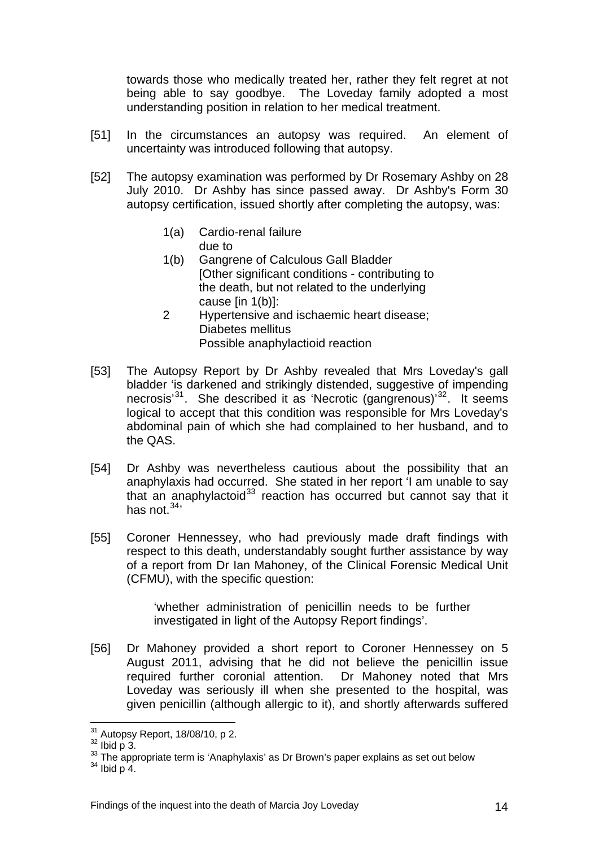towards those who medically treated her, rather they felt regret at not being able to say goodbye. The Loveday family adopted a most understanding position in relation to her medical treatment.

- [51] In the circumstances an autopsy was required. An element of uncertainty was introduced following that autopsy.
- [52] The autopsy examination was performed by Dr Rosemary Ashby on 28 July 2010. Dr Ashby has since passed away. Dr Ashby's Form 30 autopsy certification, issued shortly after completing the autopsy, was:
	- 1(a) Cardio-renal failure due to
	- 1(b) Gangrene of Calculous Gall Bladder [Other significant conditions - contributing to the death, but not related to the underlying cause [in 1(b)]:
	- 2 Hypertensive and ischaemic heart disease; Diabetes mellitus Possible anaphylactioid reaction
- [53] The Autopsy Report by Dr Ashby revealed that Mrs Loveday's gall bladder 'is darkened and strikingly distended, suggestive of impending necrosis<sup>[31](#page-13-6)</sup>. She described it as 'Necrotic (gangrenous)<sup>[32](#page-14-0)</sup>. It seems logical to accept that this condition was responsible for Mrs Loveday's abdominal pain of which she had complained to her husband, and to the QAS.
- [54] Dr Ashby was nevertheless cautious about the possibility that an anaphylaxis had occurred. She stated in her report 'I am unable to say that an anaphylactoid $33$  reaction has occurred but cannot say that it has not  $34'$
- [55] Coroner Hennessey, who had previously made draft findings with respect to this death, understandably sought further assistance by way of a report from Dr Ian Mahoney, of the Clinical Forensic Medical Unit (CFMU), with the specific question:

'whether administration of penicillin needs to be further investigated in light of the Autopsy Report findings'.

[56] Dr Mahoney provided a short report to Coroner Hennessey on 5 August 2011, advising that he did not believe the penicillin issue required further coronial attention. Dr Mahoney noted that Mrs Loveday was seriously ill when she presented to the hospital, was given penicillin (although allergic to it), and shortly afterwards suffered

<sup>&</sup>lt;sup>31</sup> Autopsy Report, 18/08/10, p 2.

<span id="page-14-1"></span>

<span id="page-14-0"></span> $\frac{32}{100}$  Autopsy,  $\frac{32}{100}$ , p 3.<br>33 The appropriate term is 'Anaphylaxis' as Dr Brown's paper explains as set out below  $\frac{34}{100}$  p 4.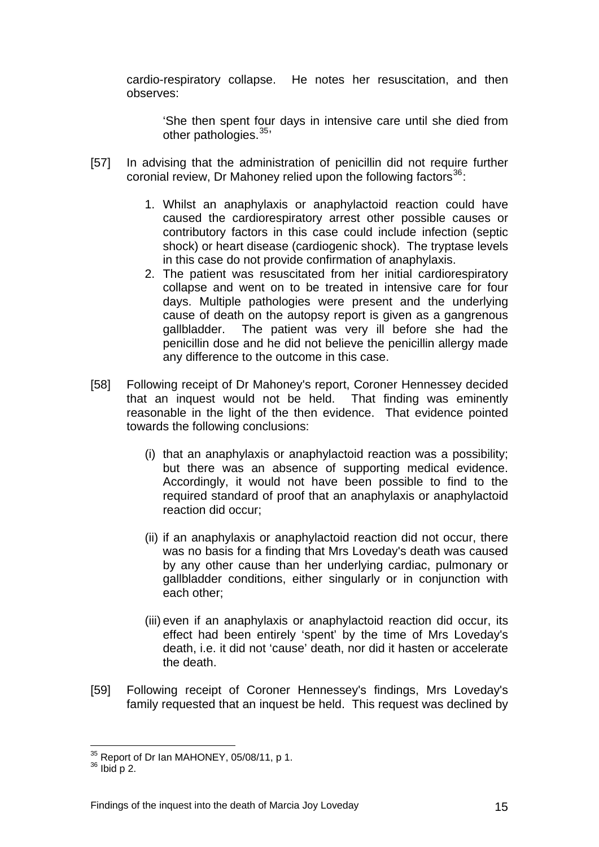cardio-respiratory collapse. He notes her resuscitation, and then observes:

'She then spent four days in intensive care until she died from other pathologies.<sup>[35](#page-14-1)</sup>

- [57] In advising that the administration of penicillin did not require further coronial review, Dr Mahoney relied upon the following factors<sup>[36](#page-15-0)</sup>:
	- 1. Whilst an anaphylaxis or anaphylactoid reaction could have caused the cardiorespiratory arrest other possible causes or contributory factors in this case could include infection (septic shock) or heart disease (cardiogenic shock). The tryptase levels in this case do not provide confirmation of anaphylaxis.
	- 2. The patient was resuscitated from her initial cardiorespiratory collapse and went on to be treated in intensive care for four days. Multiple pathologies were present and the underlying cause of death on the autopsy report is given as a gangrenous gallbladder. The patient was very ill before she had the penicillin dose and he did not believe the penicillin allergy made any difference to the outcome in this case.
- [58] Following receipt of Dr Mahoney's report, Coroner Hennessey decided that an inquest would not be held. That finding was eminently reasonable in the light of the then evidence. That evidence pointed towards the following conclusions:
	- (i) that an anaphylaxis or anaphylactoid reaction was a possibility; but there was an absence of supporting medical evidence. Accordingly, it would not have been possible to find to the required standard of proof that an anaphylaxis or anaphylactoid reaction did occur;
	- (ii) if an anaphylaxis or anaphylactoid reaction did not occur, there was no basis for a finding that Mrs Loveday's death was caused by any other cause than her underlying cardiac, pulmonary or gallbladder conditions, either singularly or in conjunction with each other;
	- (iii) even if an anaphylaxis or anaphylactoid reaction did occur, its effect had been entirely 'spent' by the time of Mrs Loveday's death, i.e. it did not 'cause' death, nor did it hasten or accelerate the death.
- [59] Following receipt of Coroner Hennessey's findings, Mrs Loveday's family requested that an inquest be held. This request was declined by

<span id="page-15-1"></span><sup>&</sup>lt;u>.</u>  $35$  Report of Dr Ian MAHONEY, 05/08/11, p 1.<br> $36$  Ibid p 2.

<span id="page-15-0"></span>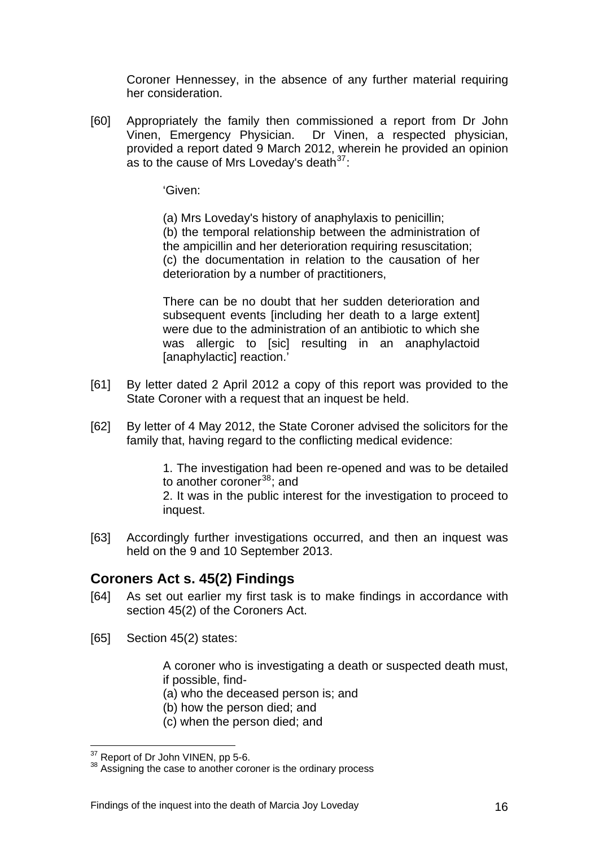Coroner Hennessey, in the absence of any further material requiring her consideration.

[60] Appropriately the family then commissioned a report from Dr John Vinen, Emergency Physician. Dr Vinen, a respected physician, provided a report dated 9 March 2012, wherein he provided an opinion as to the cause of Mrs Loveday's death  $37$ :

'Given:

 (a) Mrs Loveday's history of anaphylaxis to penicillin; (b) the temporal relationship between the administration of the ampicillin and her deterioration requiring resuscitation; (c) the documentation in relation to the causation of her deterioration by a number of practitioners,

 There can be no doubt that her sudden deterioration and subsequent events lincluding her death to a large extentl were due to the administration of an antibiotic to which she was allergic to [sic] resulting in an anaphylactoid [anaphylactic] reaction.'

- [61] By letter dated 2 April 2012 a copy of this report was provided to the State Coroner with a request that an inquest be held.
- [62] By letter of 4 May 2012, the State Coroner advised the solicitors for the family that, having regard to the conflicting medical evidence:

1. The investigation had been re-opened and was to be detailed to another coroner $38$ ; and

2. It was in the public interest for the investigation to proceed to inquest.

[63] Accordingly further investigations occurred, and then an inquest was held on the 9 and 10 September 2013.

# **Coroners Act s. 45(2) Findings**

- [64] As set out earlier my first task is to make findings in accordance with section 45(2) of the Coroners Act.
- [65] Section 45(2) states:

A coroner who is investigating a death or suspected death must, if possible, find-

- (a) who the deceased person is; and
- (b) how the person died; and
- (c) when the person died; and

<span id="page-16-1"></span><sup>&</sup>lt;u>.</u>

<span id="page-16-0"></span> $37$  Report of Dr John VINEN, pp 5-6.<br> $38$  Assigning the case to another coroner is the ordinary process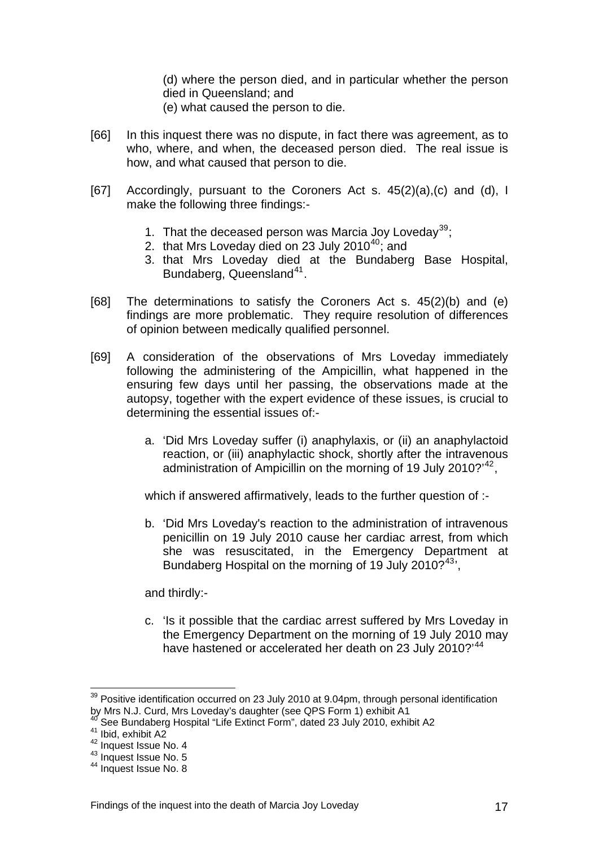(d) where the person died, and in particular whether the person died in Queensland; and

- (e) what caused the person to die.
- [66] In this inquest there was no dispute, in fact there was agreement, as to who, where, and when, the deceased person died. The real issue is how, and what caused that person to die.
- [67] Accordingly, pursuant to the Coroners Act s. 45(2)(a),(c) and (d), I make the following three findings:-
	- 1. That the deceased person was Marcia Joy Loveday<sup>[39](#page-16-1)</sup>;
	- 2. that Mrs Loveday died on 23 July 2010 $40$ ; and
	- 3. that Mrs Loveday died at the Bundaberg Base Hospital, Bundaberg, Queensland<sup>[41](#page-17-1)</sup>.
- [68] The determinations to satisfy the Coroners Act s. 45(2)(b) and (e) findings are more problematic. They require resolution of differences of opinion between medically qualified personnel.
- [69] A consideration of the observations of Mrs Loveday immediately following the administering of the Ampicillin, what happened in the ensuring few days until her passing, the observations made at the autopsy, together with the expert evidence of these issues, is crucial to determining the essential issues of:
	- a. 'Did Mrs Loveday suffer (i) anaphylaxis, or (ii) an anaphylactoid reaction, or (iii) anaphylactic shock, shortly after the intravenous administration of Ampicillin on the morning of 19 July 2010?<sup>[42](#page-17-2)</sup>,

which if answered affirmatively, leads to the further question of :-

b. 'Did Mrs Loveday's reaction to the administration of intravenous penicillin on 19 July 2010 cause her cardiac arrest, from which she was resuscitated, in the Emergency Department at Bundaberg Hospital on the morning of 19 July 2010?<sup>[43](#page-17-3)</sup>',

and thirdly:-

c. 'Is it possible that the cardiac arrest suffered by Mrs Loveday in the Emergency Department on the morning of 19 July 2010 may have hastened or accelerated her death on 23 July 2010?<sup>[44](#page-17-4)</sup>

<span id="page-17-5"></span> $39$  Positive identification occurred on 23 July 2010 at 9.04pm, through personal identification by Mrs N.J. Curd, Mrs Loveday's daughter (see QPS Form 1) exhibit A1

<span id="page-17-1"></span><span id="page-17-0"></span><sup>&</sup>lt;sup>40</sup> See Bundaberg Hospital "Life Extinct Form", dated 23 July 2010, exhibit A2<br><sup>41</sup> Ibid, exhibit A2<br><sup>42</sup> Inquest Issue No. 4

<span id="page-17-3"></span><span id="page-17-2"></span> $\frac{43}{44}$  Inquest Issue No. 5

<span id="page-17-4"></span>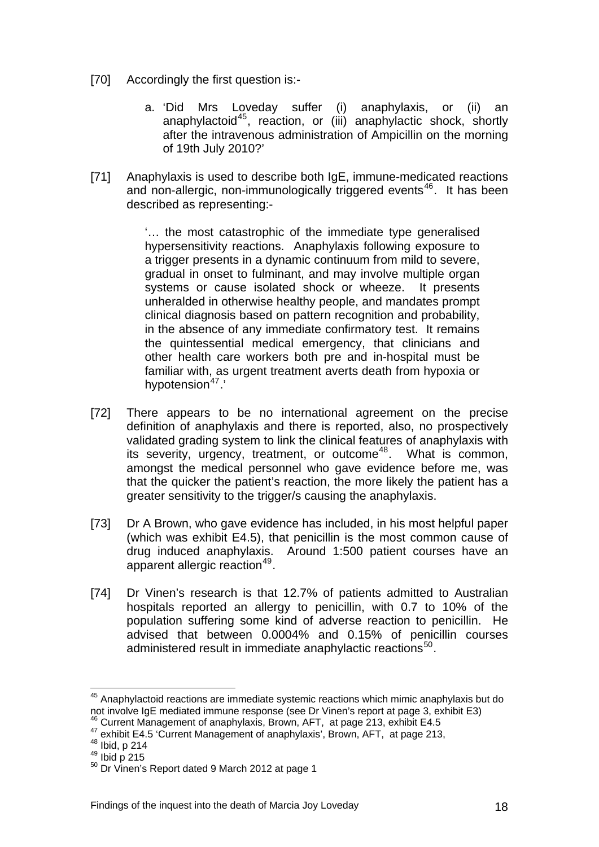- [70] Accordingly the first question is:
	- a. 'Did Mrs Loveday suffer (i) anaphylaxis, or (ii) an anaphylactoid<sup>[45](#page-17-5)</sup>, reaction, or (iii) anaphylactic shock, shortly after the intravenous administration of Ampicillin on the morning of 19th July 2010?'
- [71] Anaphylaxis is used to describe both IgE, immune-medicated reactions and non-allergic, non-immunologically triggered events<sup>[46](#page-18-0)</sup>. It has been described as representing:-

'… the most catastrophic of the immediate type generalised hypersensitivity reactions. Anaphylaxis following exposure to a trigger presents in a dynamic continuum from mild to severe, gradual in onset to fulminant, and may involve multiple organ systems or cause isolated shock or wheeze. It presents unheralded in otherwise healthy people, and mandates prompt clinical diagnosis based on pattern recognition and probability, in the absence of any immediate confirmatory test. It remains the quintessential medical emergency, that clinicians and other health care workers both pre and in-hospital must be familiar with, as urgent treatment averts death from hypoxia or hypotension<sup>[47](#page-18-1)</sup>.'

- [72] There appears to be no international agreement on the precise definition of anaphylaxis and there is reported, also, no prospectively validated grading system to link the clinical features of anaphylaxis with its severity, urgency, treatment, or outcome<sup>[48](#page-18-2)</sup>. What is common, amongst the medical personnel who gave evidence before me, was that the quicker the patient's reaction, the more likely the patient has a greater sensitivity to the trigger/s causing the anaphylaxis.
- [73] Dr A Brown, who gave evidence has included, in his most helpful paper (which was exhibit E4.5), that penicillin is the most common cause of drug induced anaphylaxis. Around 1:500 patient courses have an apparent allergic reaction<sup>[49](#page-18-3)</sup>.
- <span id="page-18-5"></span>[74] Dr Vinen's research is that 12.7% of patients admitted to Australian hospitals reported an allergy to penicillin, with 0.7 to 10% of the population suffering some kind of adverse reaction to penicillin. He advised that between 0.0004% and 0.15% of penicillin courses administered result in immediate anaphylactic reactions<sup>[50](#page-18-4)</sup>.

 $45$  Anaphylactoid reactions are immediate systemic reactions which mimic anaphylaxis but do not involve IgE mediated immune response (see Dr Vinen's report at page 3, exhibit E3)<br><sup>46</sup> Current Management of anaphylaxis, Brown, AFT, at page 213, exhibit E4.5

<span id="page-18-1"></span><span id="page-18-0"></span><sup>47&</sup>lt;br>
exhibit E4.5 'Current Management of anaphylaxis', Brown, AFT, at page 213,<br>
48 Ibid, p 214<br>
50 Dr Vinen's Report dated 9 March 2012 at page 1

<span id="page-18-2"></span>

<span id="page-18-3"></span>

<span id="page-18-4"></span>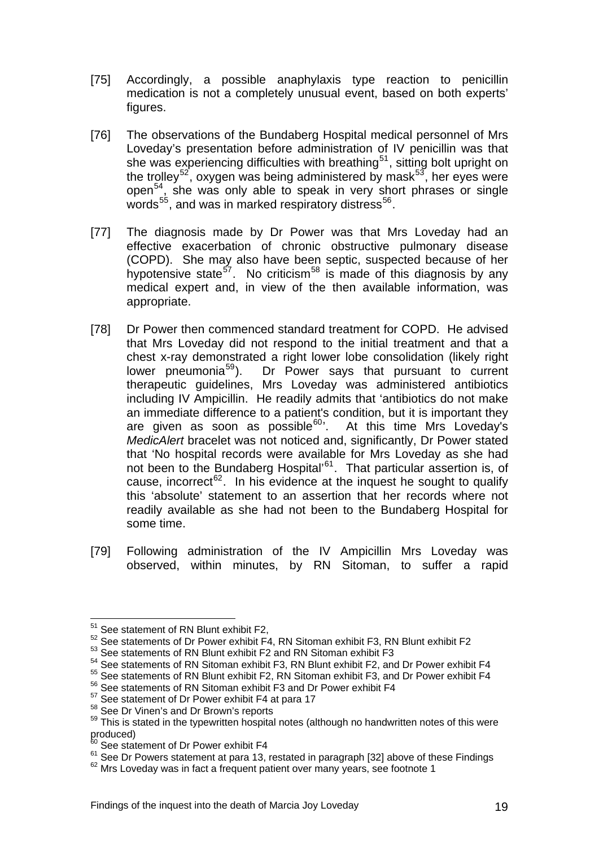- [75] Accordingly, a possible anaphylaxis type reaction to penicillin medication is not a completely unusual event, based on both experts' figures.
- [76] The observations of the Bundaberg Hospital medical personnel of Mrs Loveday's presentation before administration of IV penicillin was that she was experiencing difficulties with breathing<sup>[51](#page-18-5)</sup>, sitting bolt upright on the trolley<sup>[52](#page-19-0)</sup>, oxygen was being administered by mask $53$ , her eyes were open $54$ , she was only able to speak in very short phrases or single words<sup>[55](#page-19-3)</sup>, and was in marked respiratory distress<sup>[56](#page-19-4)</sup>.
- [77] The diagnosis made by Dr Power was that Mrs Loveday had an effective exacerbation of chronic obstructive pulmonary disease (COPD). She may also have been septic, suspected because of her hypotensive state<sup>[57](#page-19-5)</sup>. No criticism<sup>[58](#page-19-6)</sup> is made of this diagnosis by any medical expert and, in view of the then available information, was appropriate.
- [78] Dr Power then commenced standard treatment for COPD. He advised that Mrs Loveday did not respond to the initial treatment and that a chest x-ray demonstrated a right lower lobe consolidation (likely right lower pneumonia<sup>[59](#page-19-7)</sup>). Dr Power says that pursuant to current therapeutic guidelines, Mrs Loveday was administered antibiotics including IV Ampicillin. He readily admits that 'antibiotics do not make an immediate difference to a patient's condition, but it is important they are given as soon as possible<sup>[60](#page-19-8)</sup>. At this time Mrs Loveday's *MedicAlert* bracelet was not noticed and, significantly, Dr Power stated that 'No hospital records were available for Mrs Loveday as she had not been to the Bundaberg Hospital'<sup>[61](#page-19-9)</sup>. That particular assertion is, of cause, incorrect<sup>[62](#page-19-10)</sup>. In his evidence at the inquest he sought to qualify this 'absolute' statement to an assertion that her records where not readily available as she had not been to the Bundaberg Hospital for some time.
- [79] Following administration of the IV Ampicillin Mrs Loveday was observed, within minutes, by RN Sitoman, to suffer a rapid

<sup>&</sup>lt;sup>51</sup> See statement of RN Blunt exhibit F2,

<span id="page-19-0"></span><sup>52</sup> See statements of Dr Power exhibit F4, RN Sitoman exhibit F3, RN Blunt exhibit F2

<span id="page-19-1"></span><sup>53</sup> See statements of RN Blunt exhibit F2 and RN Sitoman exhibit F3

<span id="page-19-2"></span><sup>54</sup> See statements of RN Sitoman exhibit F3, RN Blunt exhibit F2, and Dr Power exhibit F4

<span id="page-19-3"></span><sup>55</sup> See statements of RN Blunt exhibit F2, RN Sitoman exhibit F3, and Dr Power exhibit F4

<span id="page-19-4"></span> $56$  See statements of RN Sitoman exhibit F3 and Dr Power exhibit F4  $57$  See statement of Dr Power exhibit F4 at para 17

<span id="page-19-7"></span><span id="page-19-6"></span><span id="page-19-5"></span> $58$  See Dr Vinen's and Dr Brown's reports<br> $58$  This is stated in the typewritten hospital notes (although no handwritten notes of this were  $\text{produced}\right)$ 

<span id="page-19-8"></span> $60$  See statement of Dr Power exhibit F4<br> $61$  See Dr Powers statement at para 13, restated in paragraph [32] above of these Findings

<span id="page-19-10"></span><span id="page-19-9"></span> $62$  Mrs Lovedav was in fact a frequent patient over many years, see footnote 1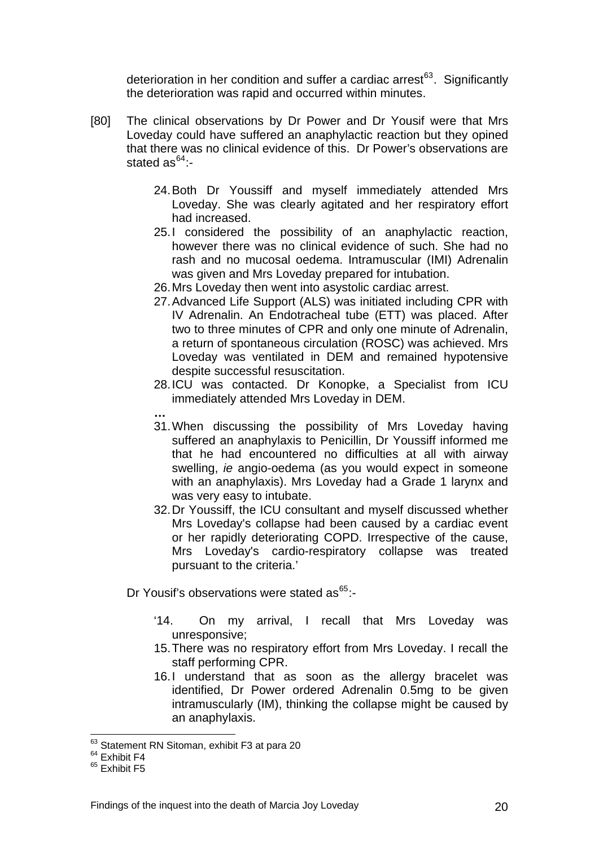deterioration in her condition and suffer a cardiac arrest<sup>63</sup>. Significantly the deterioration was rapid and occurred within minutes.

- [80] The clinical observations by Dr Power and Dr Yousif were that Mrs Loveday could have suffered an anaphylactic reaction but they opined that there was no clinical evidence of this. Dr Power's observations are stated  $as^{64}$  $as^{64}$  $as^{64}$ :-
	- 24. Both Dr Youssiff and myself immediately attended Mrs Loveday. She was clearly agitated and her respiratory effort had increased.
	- 25. I considered the possibility of an anaphylactic reaction, however there was no clinical evidence of such. She had no rash and no mucosal oedema. Intramuscular (IMI) Adrenalin was given and Mrs Loveday prepared for intubation.
	- 26. Mrs Loveday then went into asystolic cardiac arrest.
	- 27. Advanced Life Support (ALS) was initiated including CPR with IV Adrenalin. An Endotracheal tube (ETT) was placed. After two to three minutes of CPR and only one minute of Adrenalin, a return of spontaneous circulation (ROSC) was achieved. Mrs Loveday was ventilated in DEM and remained hypotensive despite successful resuscitation.
	- 28. ICU was contacted. Dr Konopke, a Specialist from ICU immediately attended Mrs Loveday in DEM.
	- **…**  31. When discussing the possibility of Mrs Loveday having suffered an anaphylaxis to Penicillin, Dr Youssiff informed me that he had encountered no difficulties at all with airway swelling, *ie* angio-oedema (as you would expect in someone with an anaphylaxis). Mrs Loveday had a Grade 1 larynx and was very easy to intubate.
	- 32. Dr Youssiff, the ICU consultant and myself discussed whether Mrs Loveday's collapse had been caused by a cardiac event or her rapidly deteriorating COPD. Irrespective of the cause, Mrs Loveday's cardio-respiratory collapse was treated pursuant to the criteria.'

Dr Yousif's observations were stated as<sup>[65](#page-20-1)</sup>:-

- '14. On my arrival, I recall that Mrs Loveday was unresponsive;
- 15. There was no respiratory effort from Mrs Loveday. I recall the staff performing CPR.
- 16.I understand that as soon as the allergy bracelet was identified, Dr Power ordered Adrenalin 0.5mg to be given intramuscularly (IM), thinking the collapse might be caused by an anaphylaxis.

 $^{63}$  Statement RN Sitoman, exhibit F3 at para 20<br> $^{64}$  Exhibit F4

<span id="page-20-2"></span><span id="page-20-0"></span> $64$  Exhibit F4<br> $65$  Exhibit F5

<span id="page-20-1"></span>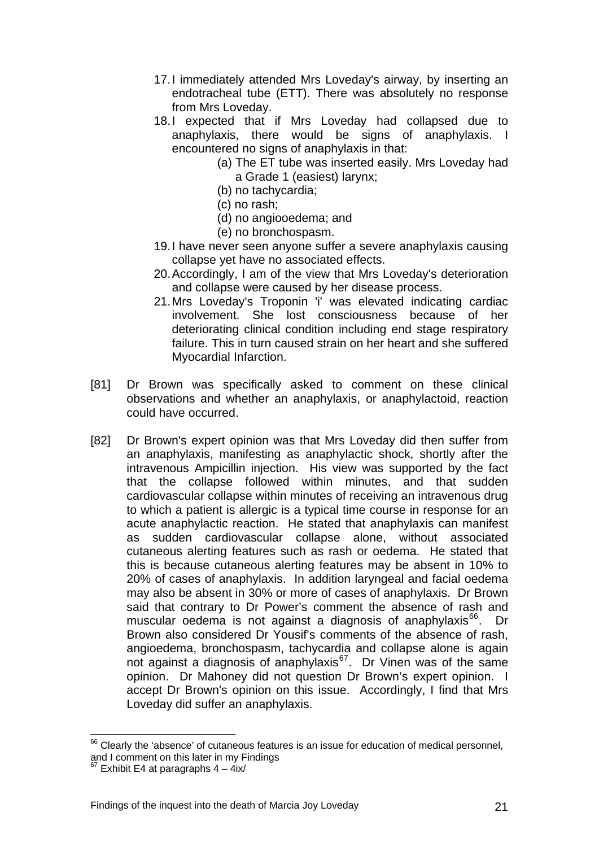- 17. I immediately attended Mrs Loveday's airway, by inserting an endotracheal tube (ETT). There was absolutely no response from Mrs Loveday.
- 18.I expected that if Mrs Loveday had collapsed due to anaphylaxis, there would be signs of anaphylaxis. I encountered no signs of anaphylaxis in that:
	- (a) The ET tube was inserted easily. Mrs Loveday had a Grade 1 (easiest) larynx;
	- (b) no tachycardia;
	- (c) no rash;
	- (d) no angiooedema; and
	- (e) no bronchospasm.
- 19. I have never seen anyone suffer a severe anaphylaxis causing collapse yet have no associated effects.
- 20. Accordingly, I am of the view that Mrs Loveday's deterioration and collapse were caused by her disease process.
- 21. Mrs Loveday's Troponin 'i' was elevated indicating cardiac involvement. She lost consciousness because of her deteriorating clinical condition including end stage respiratory failure. This in turn caused strain on her heart and she suffered Myocardial Infarction.
- [81] Dr Brown was specifically asked to comment on these clinical observations and whether an anaphylaxis, or anaphylactoid, reaction could have occurred.
- [82] Dr Brown's expert opinion was that Mrs Loveday did then suffer from an anaphylaxis, manifesting as anaphylactic shock, shortly after the intravenous Ampicillin injection. His view was supported by the fact that the collapse followed within minutes, and that sudden cardiovascular collapse within minutes of receiving an intravenous drug to which a patient is allergic is a typical time course in response for an acute anaphylactic reaction. He stated that anaphylaxis can manifest as sudden cardiovascular collapse alone, without associated cutaneous alerting features such as rash or oedema. He stated that this is because cutaneous alerting features may be absent in 10% to 20% of cases of anaphylaxis. In addition laryngeal and facial oedema may also be absent in 30% or more of cases of anaphylaxis. Dr Brown said that contrary to Dr Power's comment the absence of rash and muscular oedema is not against a diagnosis of anaphylaxis $^{66}$  $^{66}$  $^{66}$ . Dr Brown also considered Dr Yousif's comments of the absence of rash, angioedema, bronchospasm, tachycardia and collapse alone is again anglocating, biomorospasm, dony cardia and conapse alone is again<br>not against a diagnosis of anaphylaxis $^{67}$  $^{67}$  $^{67}$ . Dr Vinen was of the same opinion. Dr Mahoney did not question Dr Brown's expert opinion. I accept Dr Brown's opinion on this issue. Accordingly, I find that Mrs Loveday did suffer an anaphylaxis.

 $66$  Clearly the 'absence' of cutaneous features is an issue for education of medical personnel, and I comment on this later in my Findings

<span id="page-21-1"></span><span id="page-21-0"></span> $67$  Exhibit E4 at paragraphs  $4 - 4ix/$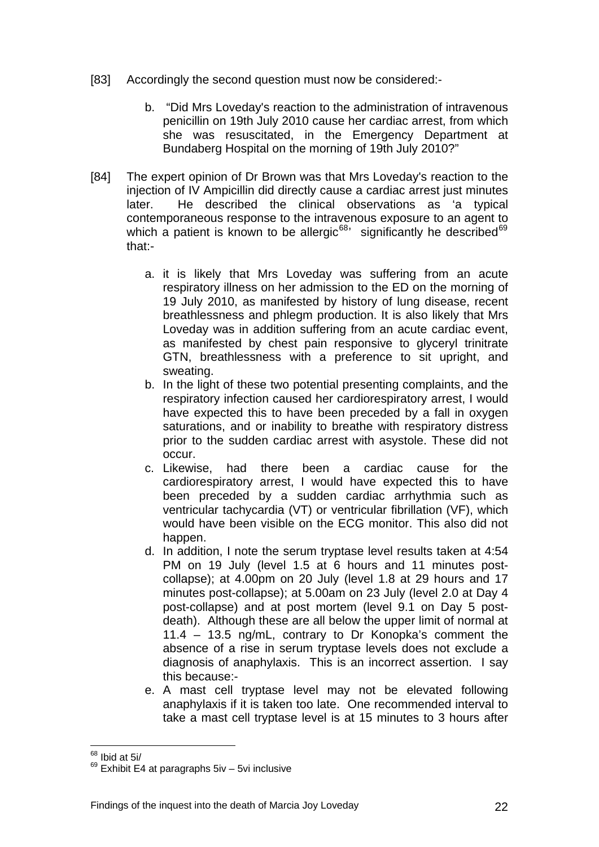- [83] Accordingly the second question must now be considered:
	- b. "Did Mrs Loveday's reaction to the administration of intravenous penicillin on 19th July 2010 cause her cardiac arrest, from which she was resuscitated, in the Emergency Department at Bundaberg Hospital on the morning of 19th July 2010?"
- [84] The expert opinion of Dr Brown was that Mrs Loveday's reaction to the injection of IV Ampicillin did directly cause a cardiac arrest just minutes later. He described the clinical observations as 'a typical contemporaneous response to the intravenous exposure to an agent to which a patient is known to be allergic<sup>[68](#page-21-1)</sup> significantly he described<sup>[69](#page-22-0)</sup> that:
	- a. it is likely that Mrs Loveday was suffering from an acute respiratory illness on her admission to the ED on the morning of 19 July 2010, as manifested by history of lung disease, recent breathlessness and phlegm production. It is also likely that Mrs Loveday was in addition suffering from an acute cardiac event, as manifested by chest pain responsive to glyceryl trinitrate GTN, breathlessness with a preference to sit upright, and sweating.
	- b. In the light of these two potential presenting complaints, and the respiratory infection caused her cardiorespiratory arrest, I would have expected this to have been preceded by a fall in oxygen saturations, and or inability to breathe with respiratory distress prior to the sudden cardiac arrest with asystole. These did not occur.
	- c. Likewise, had there been a cardiac cause for the cardiorespiratory arrest, I would have expected this to have been preceded by a sudden cardiac arrhythmia such as ventricular tachycardia (VT) or ventricular fibrillation (VF), which would have been visible on the ECG monitor. This also did not happen.
	- d. In addition, I note the serum tryptase level results taken at 4:54 PM on 19 July (level 1.5 at 6 hours and 11 minutes postcollapse); at 4.00pm on 20 July (level 1.8 at 29 hours and 17 minutes post-collapse); at 5.00am on 23 July (level 2.0 at Day 4 post-collapse) and at post mortem (level 9.1 on Day 5 postdeath). Although these are all below the upper limit of normal at 11.4 – 13.5 ng/mL, contrary to Dr Konopka's comment the absence of a rise in serum tryptase levels does not exclude a diagnosis of anaphylaxis. This is an incorrect assertion. I say this because:-
	- e. A mast cell tryptase level may not be elevated following anaphylaxis if it is taken too late. One recommended interval to take a mast cell tryptase level is at 15 minutes to 3 hours after

<sup>&</sup>lt;u>.</u>  $68$  Ibid at 5i/

<span id="page-22-1"></span><span id="page-22-0"></span> $69$  Exhibit E4 at paragraphs 5iv – 5vi inclusive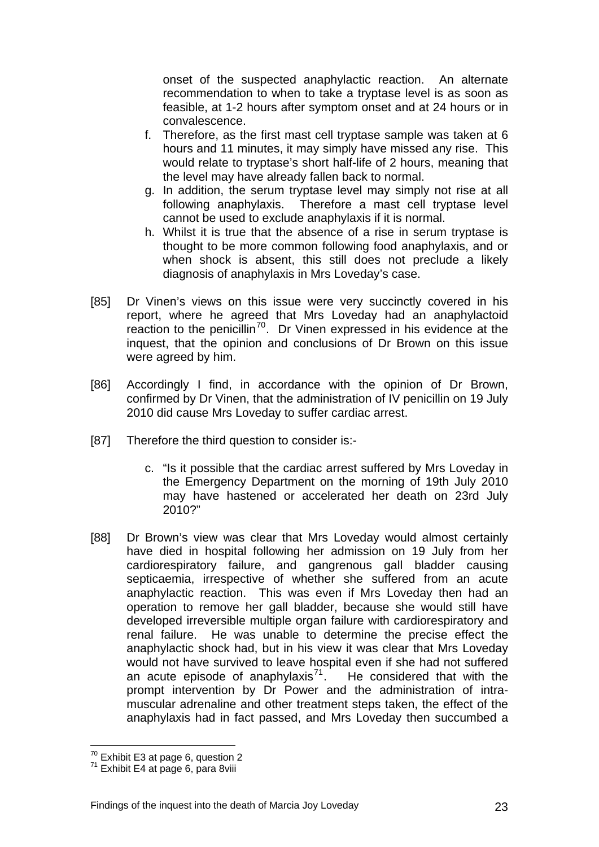onset of the suspected anaphylactic reaction. An alternate recommendation to when to take a tryptase level is as soon as feasible, at 1-2 hours after symptom onset and at 24 hours or in convalescence.

- f. Therefore, as the first mast cell tryptase sample was taken at 6 hours and 11 minutes, it may simply have missed any rise. This would relate to tryptase's short half-life of 2 hours, meaning that the level may have already fallen back to normal.
- g. In addition, the serum tryptase level may simply not rise at all following anaphylaxis. Therefore a mast cell tryptase level cannot be used to exclude anaphylaxis if it is normal.
- h. Whilst it is true that the absence of a rise in serum tryptase is thought to be more common following food anaphylaxis, and or when shock is absent, this still does not preclude a likely diagnosis of anaphylaxis in Mrs Loveday's case.
- [85] Dr Vinen's views on this issue were very succinctly covered in his report, where he agreed that Mrs Loveday had an anaphylactoid reaction to the penicillin<sup>[70](#page-22-1)</sup>. Dr Vinen expressed in his evidence at the inquest, that the opinion and conclusions of Dr Brown on this issue were agreed by him.
- [86] Accordingly I find, in accordance with the opinion of Dr Brown, confirmed by Dr Vinen, that the administration of IV penicillin on 19 July 2010 did cause Mrs Loveday to suffer cardiac arrest.
- [87] Therefore the third question to consider is:
	- c. "Is it possible that the cardiac arrest suffered by Mrs Loveday in the Emergency Department on the morning of 19th July 2010 may have hastened or accelerated her death on 23rd July 2010?"
- [88] Dr Brown's view was clear that Mrs Loveday would almost certainly have died in hospital following her admission on 19 July from her cardiorespiratory failure, and gangrenous gall bladder causing septicaemia, irrespective of whether she suffered from an acute anaphylactic reaction. This was even if Mrs Loveday then had an operation to remove her gall bladder, because she would still have developed irreversible multiple organ failure with cardiorespiratory and renal failure. He was unable to determine the precise effect the anaphylactic shock had, but in his view it was clear that Mrs Loveday would not have survived to leave hospital even if she had not suffered an acute episode of anaphylaxis<sup>[71](#page-23-0)</sup>. He considered that with the prompt intervention by Dr Power and the administration of intramuscular adrenaline and other treatment steps taken, the effect of the anaphylaxis had in fact passed, and Mrs Loveday then succumbed a

<span id="page-23-1"></span><sup>&</sup>lt;u>.</u>  $70^7$  Exhibit E3 at page 6, question 2<br> $71^7$  Exhibit E4 at page 6, para 8viii

<span id="page-23-0"></span>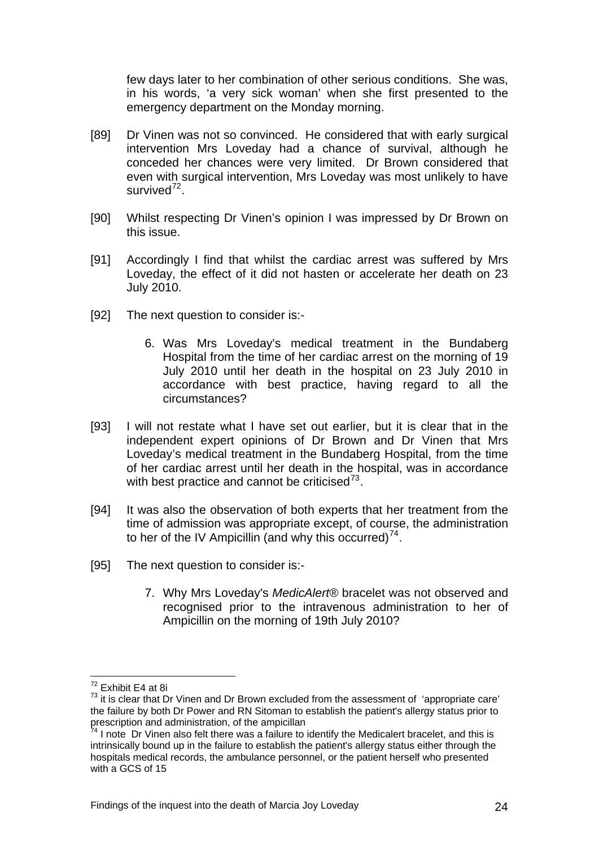few days later to her combination of other serious conditions. She was, in his words, 'a very sick woman' when she first presented to the emergency department on the Monday morning.

- [89] Dr Vinen was not so convinced. He considered that with early surgical intervention Mrs Loveday had a chance of survival, although he conceded her chances were very limited. Dr Brown considered that even with surgical intervention, Mrs Loveday was most unlikely to have survived $^{72}$  $^{72}$  $^{72}$ .
- [90] Whilst respecting Dr Vinen's opinion I was impressed by Dr Brown on this issue.
- [91] Accordingly I find that whilst the cardiac arrest was suffered by Mrs Loveday, the effect of it did not hasten or accelerate her death on 23 July 2010.
- [92] The next question to consider is:-
	- 6. Was Mrs Loveday's medical treatment in the Bundaberg Hospital from the time of her cardiac arrest on the morning of 19 July 2010 until her death in the hospital on 23 July 2010 in accordance with best practice, having regard to all the circumstances?
- [93] I will not restate what I have set out earlier, but it is clear that in the independent expert opinions of Dr Brown and Dr Vinen that Mrs Loveday's medical treatment in the Bundaberg Hospital, from the time of her cardiac arrest until her death in the hospital, was in accordance with best practice and cannot be criticised $7^3$ .
- [94] It was also the observation of both experts that her treatment from the time of admission was appropriate except, of course, the administration to her of the IV Ampicillin (and why this occurred)<sup>[74](#page-24-1)</sup>.
- [95] The next question to consider is:-
	- 7. Why Mrs Loveday's *MedicAlert®* bracelet was not observed and recognised prior to the intravenous administration to her of Ampicillin on the morning of 19th July 2010?

<u>.</u>

<sup>&</sup>lt;sup>72</sup> Exhibit E4 at 8i

<span id="page-24-0"></span> $73$  it is clear that Dr Vinen and Dr Brown excluded from the assessment of 'appropriate care' the failure by both Dr Power and RN Sitoman to establish the patient's allergy status prior to prescription and administration, of the ampicillan

<span id="page-24-1"></span> $74$  I note Dr Vinen also felt there was a failure to identify the Medicalert bracelet, and this is intrinsically bound up in the failure to establish the patient's allergy status either through the hospitals medical records, the ambulance personnel, or the patient herself who presented with a GCS of 15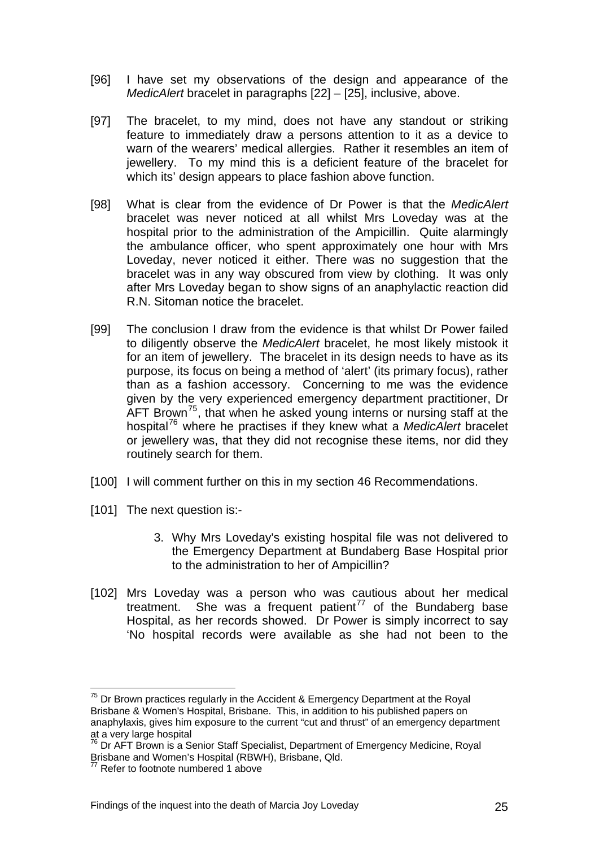- [96] I have set my observations of the design and appearance of the *MedicAlert* bracelet in paragraphs [22] – [25], inclusive, above.
- [97] The bracelet, to my mind, does not have any standout or striking feature to immediately draw a persons attention to it as a device to warn of the wearers' medical allergies. Rather it resembles an item of jewellery. To my mind this is a deficient feature of the bracelet for which its' design appears to place fashion above function.
- [98] What is clear from the evidence of Dr Power is that the *MedicAlert* bracelet was never noticed at all whilst Mrs Loveday was at the hospital prior to the administration of the Ampicillin. Quite alarmingly the ambulance officer, who spent approximately one hour with Mrs Loveday, never noticed it either. There was no suggestion that the bracelet was in any way obscured from view by clothing. It was only after Mrs Loveday began to show signs of an anaphylactic reaction did R.N. Sitoman notice the bracelet.
- [99] The conclusion I draw from the evidence is that whilst Dr Power failed to diligently observe the *MedicAlert* bracelet, he most likely mistook it for an item of jewellery. The bracelet in its design needs to have as its purpose, its focus on being a method of 'alert' (its primary focus), rather than as a fashion accessory. Concerning to me was the evidence given by the very experienced emergency department practitioner, Dr  $\text{AFT Brown}^{75}$  $\text{AFT Brown}^{75}$  $\text{AFT Brown}^{75}$ , that when he asked young interns or nursing staff at the hospital[76](#page-25-0) where he practises if they knew what a *MedicAlert* bracelet or jewellery was, that they did not recognise these items, nor did they routinely search for them.
- [100] I will comment further on this in my section 46 Recommendations.
- [101] The next question is:-
	- 3. Why Mrs Loveday's existing hospital file was not delivered to the Emergency Department at Bundaberg Base Hospital prior to the administration to her of Ampicillin?
- [102] Mrs Loveday was a person who was cautious about her medical treatment. She was a frequent patient<sup>[77](#page-25-1)</sup> of the Bundaberg base Hospital, as her records showed. Dr Power is simply incorrect to say 'No hospital records were available as she had not been to the

Dr Brown practices regularly in the Accident & Emergency Department at the Royal Brisbane & Women's Hospital, Brisbane. This, in addition to his published papers on anaphylaxis, gives him exposure to the current "cut and thrust" of an emergency department at a very large hospital

<span id="page-25-0"></span><sup>&</sup>lt;sup>76</sup> Dr AFT Brown is a Senior Staff Specialist, Department of Emergency Medicine, Royal Brisbane and Women's Hospital (RBWH), Brisbane, Qld.

<span id="page-25-1"></span><sup>&</sup>lt;sup>77</sup> Refer to footnote numbered 1 above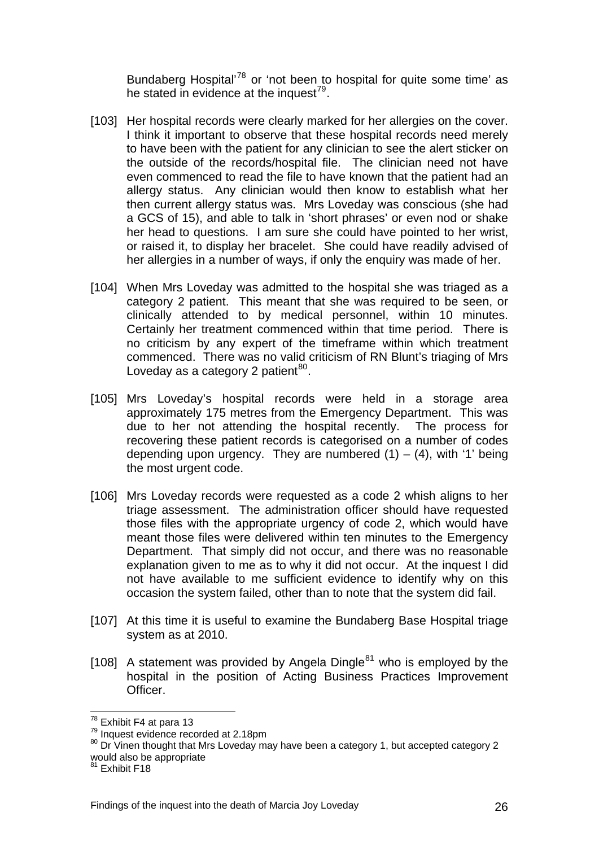Bundaberg Hospital<sup>'78</sup> or 'not been to hospital for quite some time' as he stated in evidence at the inquest<sup>79</sup>.

- [103] Her hospital records were clearly marked for her allergies on the cover. I think it important to observe that these hospital records need merely to have been with the patient for any clinician to see the alert sticker on the outside of the records/hospital file. The clinician need not have even commenced to read the file to have known that the patient had an allergy status. Any clinician would then know to establish what her then current allergy status was. Mrs Loveday was conscious (she had a GCS of 15), and able to talk in 'short phrases' or even nod or shake her head to questions. I am sure she could have pointed to her wrist, or raised it, to display her bracelet. She could have readily advised of her allergies in a number of ways, if only the enquiry was made of her.
- [104] When Mrs Loveday was admitted to the hospital she was triaged as a category 2 patient. This meant that she was required to be seen, or clinically attended to by medical personnel, within 10 minutes. Certainly her treatment commenced within that time period. There is no criticism by any expert of the timeframe within which treatment commenced. There was no valid criticism of RN Blunt's triaging of Mrs Loveday as a category 2 patient  $80<sub>1</sub>$  $80<sub>1</sub>$ .
- [105] Mrs Loveday's hospital records were held in a storage area approximately 175 metres from the Emergency Department. This was due to her not attending the hospital recently. The process for recovering these patient records is categorised on a number of codes depending upon urgency. They are numbered  $(1) - (4)$ , with '1' being the most urgent code.
- [106] Mrs Loveday records were requested as a code 2 whish aligns to her triage assessment. The administration officer should have requested those files with the appropriate urgency of code 2, which would have meant those files were delivered within ten minutes to the Emergency Department. That simply did not occur, and there was no reasonable explanation given to me as to why it did not occur. At the inquest I did not have available to me sufficient evidence to identify why on this occasion the system failed, other than to note that the system did fail.
- [107] At this time it is useful to examine the Bundaberg Base Hospital triage system as at 2010.
- [108] A statement was provided by Angela Dingle<sup>[81](#page-26-1)</sup> who is employed by the hospital in the position of Acting Business Practices Improvement Officer.

<sup>&</sup>lt;sup>78</sup> Exhibit F4 at para 13

<span id="page-26-0"></span> $\frac{79}{79}$  Inquest evidence recorded at 2.18pm<br><sup>80</sup> Dr Vinen thought that Mrs Loveday may have been a category 1, but accepted category 2 would also be appropriate

<span id="page-26-1"></span><sup>&</sup>lt;sup>81</sup> Exhibit F18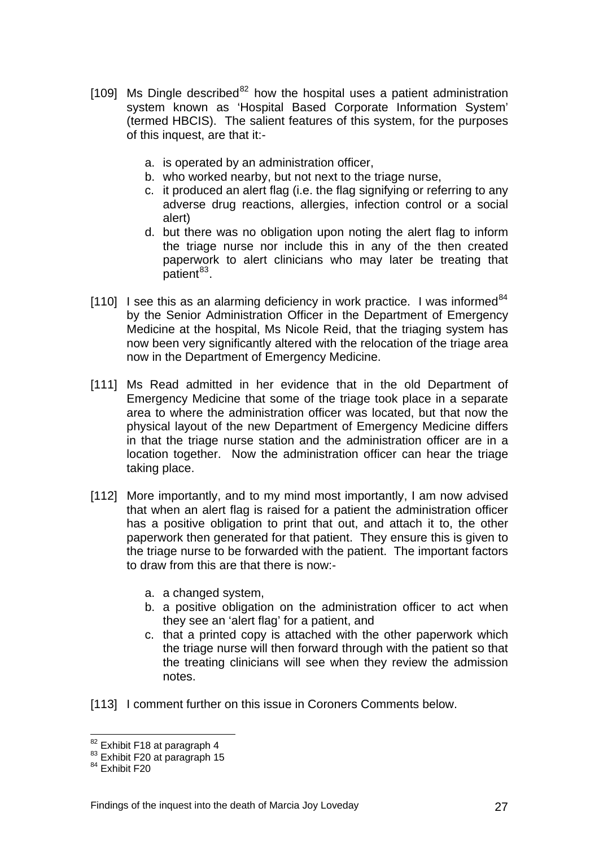- [109] Ms Dingle described<sup>[82](#page-26-0)</sup> how the hospital uses a patient administration system known as 'Hospital Based Corporate Information System' (termed HBCIS). The salient features of this system, for the purposes of this inquest, are that it:
	- a. is operated by an administration officer,
	- b. who worked nearby, but not next to the triage nurse,
	- c. it produced an alert flag (i.e. the flag signifying or referring to any adverse drug reactions, allergies, infection control or a social alert)
	- d. but there was no obligation upon noting the alert flag to inform the triage nurse nor include this in any of the then created paperwork to alert clinicians who may later be treating that  $p$ atient $^{83}$  $^{83}$  $^{83}$ .
- [110] I see this as an alarming deficiency in work practice. I was informed  $84$ by the Senior Administration Officer in the Department of Emergency Medicine at the hospital, Ms Nicole Reid, that the triaging system has now been very significantly altered with the relocation of the triage area now in the Department of Emergency Medicine.
- [111] Ms Read admitted in her evidence that in the old Department of Emergency Medicine that some of the triage took place in a separate area to where the administration officer was located, but that now the physical layout of the new Department of Emergency Medicine differs in that the triage nurse station and the administration officer are in a location together. Now the administration officer can hear the triage taking place.
- [112] More importantly, and to my mind most importantly, I am now advised that when an alert flag is raised for a patient the administration officer has a positive obligation to print that out, and attach it to, the other paperwork then generated for that patient. They ensure this is given to the triage nurse to be forwarded with the patient. The important factors to draw from this are that there is now:
	- a. a changed system,
	- b. a positive obligation on the administration officer to act when they see an 'alert flag' for a patient, and
	- c. that a printed copy is attached with the other paperwork which the triage nurse will then forward through with the patient so that the treating clinicians will see when they review the admission notes.
- <span id="page-27-2"></span>[113] I comment further on this issue in Coroners Comments below.

<span id="page-27-0"></span><sup>&</sup>lt;sup>82</sup> Exhibit F18 at paragraph 4<br><sup>83</sup> Exhibit F20 at paragraph 15<br><sup>84</sup> Exhibit F20

<span id="page-27-1"></span>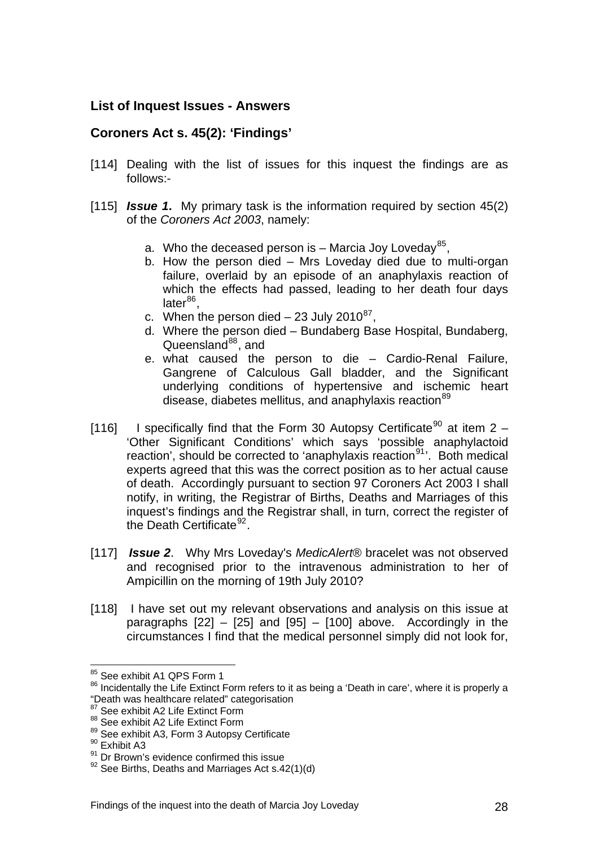### **List of Inquest Issues - Answers**

#### **Coroners Act s. 45(2): 'Findings'**

- [114] Dealing with the list of issues for this inquest the findings are as follows:-
- [115] *Issue 1***.** My primary task is the information required by section 45(2) of the *Coroners Act 2003*, namely:
	- a. Who the deceased person is Marcia Joy Loveday<sup>[85](#page-27-2)</sup>,
	- b. How the person died Mrs Loveday died due to multi-organ failure, overlaid by an episode of an anaphylaxis reaction of which the effects had passed, leading to her death four days late $r^{86}$  $r^{86}$  $r^{86}$ .
	- c. When the person died  $-23$  July 2010<sup>[87](#page-28-1)</sup>.
	- d. Where the person died Bundaberg Base Hospital, Bundaberg, Queensland $88$ , and
	- e. what caused the person to die Cardio-Renal Failure, Gangrene of Calculous Gall bladder, and the Significant underlying conditions of hypertensive and ischemic heart disease, diabetes mellitus, and anaphylaxis reaction<sup>[89](#page-28-3)</sup>
- [116] I specifically find that the Form 30 Autopsy Certificate<sup>[90](#page-28-4)</sup> at item 2 'Other Significant Conditions' which says 'possible anaphylactoid reaction', should be corrected to 'anaphylaxis reaction $91'$  $91'$ . Both medical experts agreed that this was the correct position as to her actual cause of death. Accordingly pursuant to section 97 Coroners Act 2003 I shall notify, in writing, the Registrar of Births, Deaths and Marriages of this inquest's findings and the Registrar shall, in turn, correct the register of the Death Certificate<sup>[92](#page-28-6)</sup>.
- [117] *Issue 2*. Why Mrs Loveday's *MedicAlert*® bracelet was not observed and recognised prior to the intravenous administration to her of Ampicillin on the morning of 19th July 2010?
- [118] I have set out my relevant observations and analysis on this issue at paragraphs  $[22] - [25]$  and  $[95] - [100]$  above. Accordingly in the circumstances I find that the medical personnel simply did not look for,

<sup>&</sup>lt;sup>85</sup> See exhibit A1 QPS Form 1

<span id="page-28-0"></span><sup>&</sup>lt;sup>86</sup> Incidentally the Life Extinct Form refers to it as being a 'Death in care', where it is properly a "Death was healthcare related" categorisation

<span id="page-28-1"></span><sup>87</sup> See exhibit A2 Life Extinct Form

<span id="page-28-2"></span><sup>88</sup> See exhibit A2 Life Extinct Form

<span id="page-28-3"></span> $89$  See exhibit A3, Form 3 Autopsy Certificate  $90$  Exhibit A3

<span id="page-28-5"></span><span id="page-28-4"></span><sup>&</sup>lt;sup>91</sup> Dr Brown's evidence confirmed this issue

<span id="page-28-6"></span> $92$  See Births, Deaths and Marriages Act s.42(1)(d)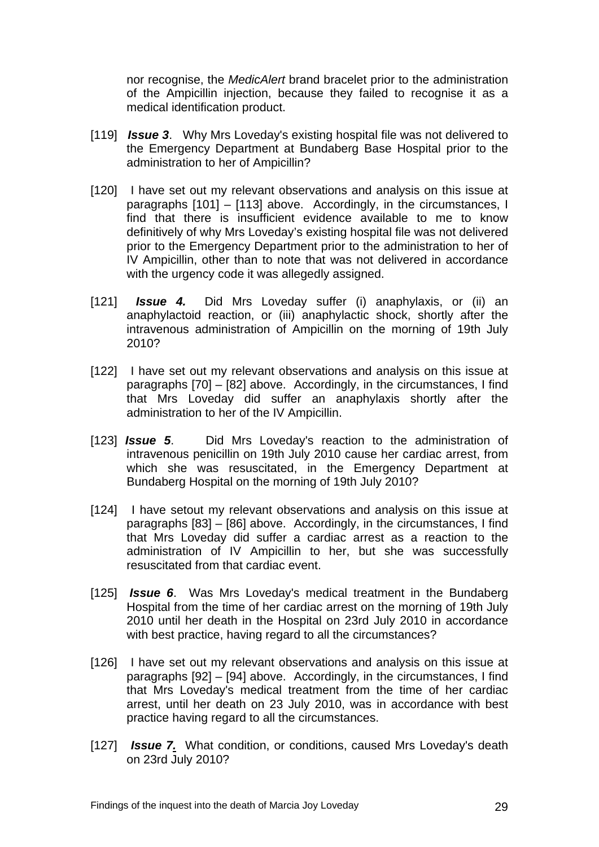nor recognise, the *MedicAlert* brand bracelet prior to the administration of the Ampicillin injection, because they failed to recognise it as a medical identification product.

- [119] *Issue 3*. Why Mrs Loveday's existing hospital file was not delivered to the Emergency Department at Bundaberg Base Hospital prior to the administration to her of Ampicillin?
- [120] I have set out my relevant observations and analysis on this issue at paragraphs [101] – [113] above. Accordingly, in the circumstances, I find that there is insufficient evidence available to me to know definitively of why Mrs Loveday's existing hospital file was not delivered prior to the Emergency Department prior to the administration to her of IV Ampicillin, other than to note that was not delivered in accordance with the urgency code it was allegedly assigned.
- [121] *Issue 4.* Did Mrs Loveday suffer (i) anaphylaxis, or (ii) an anaphylactoid reaction, or (iii) anaphylactic shock, shortly after the intravenous administration of Ampicillin on the morning of 19th July 2010?
- [122] I have set out my relevant observations and analysis on this issue at paragraphs [70] – [82] above. Accordingly, in the circumstances, I find that Mrs Loveday did suffer an anaphylaxis shortly after the administration to her of the IV Ampicillin.
- [123] *Issue 5*. Did Mrs Loveday's reaction to the administration of intravenous penicillin on 19th July 2010 cause her cardiac arrest, from which she was resuscitated, in the Emergency Department at Bundaberg Hospital on the morning of 19th July 2010?
- [124] I have setout my relevant observations and analysis on this issue at paragraphs [83] – [86] above. Accordingly, in the circumstances, I find that Mrs Loveday did suffer a cardiac arrest as a reaction to the administration of IV Ampicillin to her, but she was successfully resuscitated from that cardiac event.
- [125] *Issue 6*. Was Mrs Loveday's medical treatment in the Bundaberg Hospital from the time of her cardiac arrest on the morning of 19th July 2010 until her death in the Hospital on 23rd July 2010 in accordance with best practice, having regard to all the circumstances?
- [126] I have set out my relevant observations and analysis on this issue at paragraphs [92] – [94] above. Accordingly, in the circumstances, I find that Mrs Loveday's medical treatment from the time of her cardiac arrest, until her death on 23 July 2010, was in accordance with best practice having regard to all the circumstances.
- [127] *Issue 7.* What condition, or conditions, caused Mrs Loveday's death on 23rd July 2010?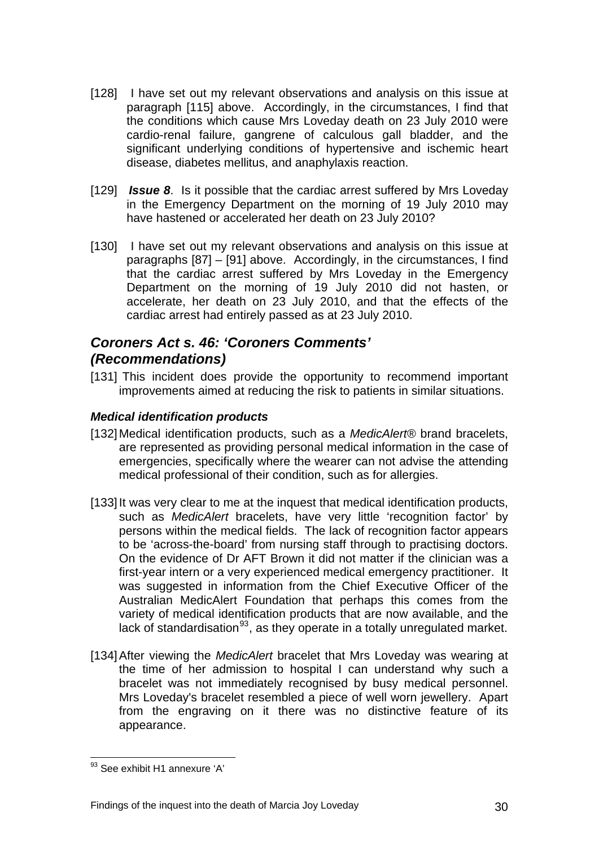- [128] I have set out my relevant observations and analysis on this issue at paragraph [115] above. Accordingly, in the circumstances, I find that the conditions which cause Mrs Loveday death on 23 July 2010 were cardio-renal failure, gangrene of calculous gall bladder, and the significant underlying conditions of hypertensive and ischemic heart disease, diabetes mellitus, and anaphylaxis reaction.
- [129] *Issue 8*. Is it possible that the cardiac arrest suffered by Mrs Loveday in the Emergency Department on the morning of 19 July 2010 may have hastened or accelerated her death on 23 July 2010?
- [130] I have set out my relevant observations and analysis on this issue at paragraphs [87] – [91] above. Accordingly, in the circumstances, I find that the cardiac arrest suffered by Mrs Loveday in the Emergency Department on the morning of 19 July 2010 did not hasten, or accelerate, her death on 23 July 2010, and that the effects of the cardiac arrest had entirely passed as at 23 July 2010.

# *Coroners Act s. 46: 'Coroners Comments' (Recommendations)*

[131] This incident does provide the opportunity to recommend important improvements aimed at reducing the risk to patients in similar situations.

## *Medical identification products*

- [132] Medical identification products, such as a *MedicAlert®* brand bracelets, are represented as providing personal medical information in the case of emergencies, specifically where the wearer can not advise the attending medical professional of their condition, such as for allergies.
- [133] It was very clear to me at the inquest that medical identification products, such as *MedicAlert* bracelets, have very little 'recognition factor' by persons within the medical fields. The lack of recognition factor appears to be 'across-the-board' from nursing staff through to practising doctors. On the evidence of Dr AFT Brown it did not matter if the clinician was a first-year intern or a very experienced medical emergency practitioner. It was suggested in information from the Chief Executive Officer of the Australian MedicAlert Foundation that perhaps this comes from the variety of medical identification products that are now available, and the lack of standardisation  $93$ , as they operate in a totally unregulated market.
- <span id="page-30-0"></span>[134] After viewing the *MedicAlert* bracelet that Mrs Loveday was wearing at the time of her admission to hospital I can understand why such a bracelet was not immediately recognised by busy medical personnel. Mrs Loveday's bracelet resembled a piece of well worn jewellery. Apart from the engraving on it there was no distinctive feature of its appearance.

<sup>1</sup> <sup>93</sup> See exhibit H1 annexure 'A'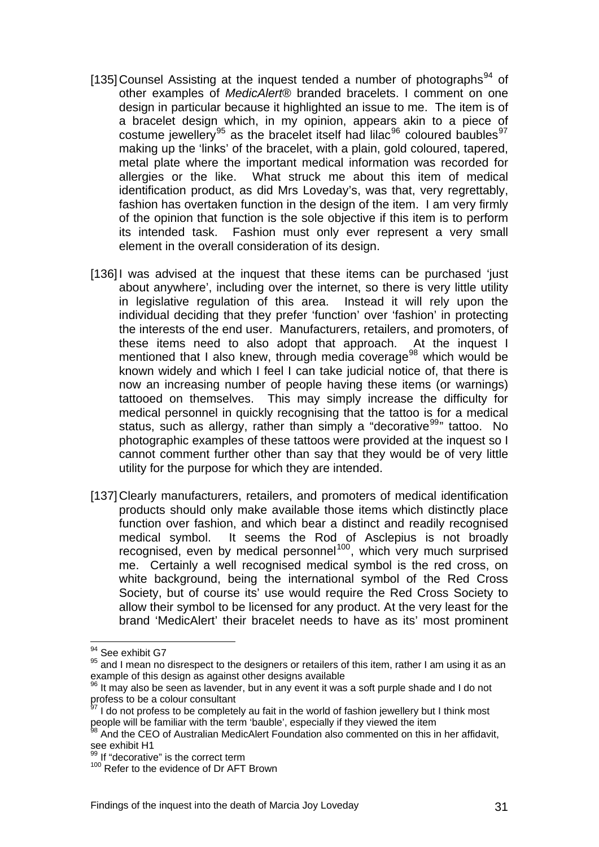- [135] Counsel Assisting at the inquest tended a number of photographs<sup>[94](#page-30-0)</sup> of other examples of *MedicAlert*® branded bracelets. I comment on one design in particular because it highlighted an issue to me. The item is of a bracelet design which, in my opinion, appears akin to a piece of costume jewellery<sup>[95](#page-31-0)</sup> as the bracelet itself had lilac<sup>[96](#page-31-1)</sup> coloured baubles<sup>[97](#page-31-2)</sup> making up the 'links' of the bracelet, with a plain, gold coloured, tapered, metal plate where the important medical information was recorded for allergies or the like. What struck me about this item of medical identification product, as did Mrs Loveday's, was that, very regrettably, fashion has overtaken function in the design of the item. I am very firmly of the opinion that function is the sole objective if this item is to perform its intended task. Fashion must only ever represent a very small element in the overall consideration of its design.
- [136] I was advised at the inquest that these items can be purchased 'just about anywhere', including over the internet, so there is very little utility in legislative regulation of this area. Instead it will rely upon the individual deciding that they prefer 'function' over 'fashion' in protecting the interests of the end user. Manufacturers, retailers, and promoters, of these items need to also adopt that approach. At the inquest I mentioned that I also knew, through media coverage<sup>[98](#page-31-3)</sup> which would be known widely and which I feel I can take judicial notice of, that there is now an increasing number of people having these items (or warnings) tattooed on themselves. This may simply increase the difficulty for medical personnel in quickly recognising that the tattoo is for a medical status, such as allergy, rather than simply a "decorative<sup>[99](#page-31-4)</sup>" tattoo. No photographic examples of these tattoos were provided at the inquest so I cannot comment further other than say that they would be of very little utility for the purpose for which they are intended.
- [137] Clearly manufacturers, retailers, and promoters of medical identification products should only make available those items which distinctly place function over fashion, and which bear a distinct and readily recognised medical symbol. It seems the Rod of Asclepius is not broadly recognised, even by medical personnel<sup>[100](#page-31-5)</sup>, which very much surprised me. Certainly a well recognised medical symbol is the red cross, on white background, being the international symbol of the Red Cross Society, but of course its' use would require the Red Cross Society to allow their symbol to be licensed for any product. At the very least for the brand 'MedicAlert' their bracelet needs to have as its' most prominent

<sup>&</sup>lt;u>.</u> <sup>94</sup> See exhibit G7

<span id="page-31-0"></span><sup>95</sup> and I mean no disrespect to the designers or retailers of this item, rather I am using it as an example of this design as against other designs available

<span id="page-31-1"></span> $96$  It may also be seen as lavender, but in any event it was a soft purple shade and I do not profess to be a colour consultant

<span id="page-31-2"></span><sup>97</sup> I do not profess to be completely au fait in the world of fashion jewellery but I think most people will be familiar with the term 'bauble', especially if they viewed the item

<span id="page-31-3"></span><sup>98</sup> And the CEO of Australian MedicAlert Foundation also commented on this in her affidavit, see exhibit H1

<span id="page-31-4"></span><sup>99</sup> If "decorative" is the correct term

<span id="page-31-5"></span><sup>&</sup>lt;sup>100</sup> Refer to the evidence of Dr AFT Brown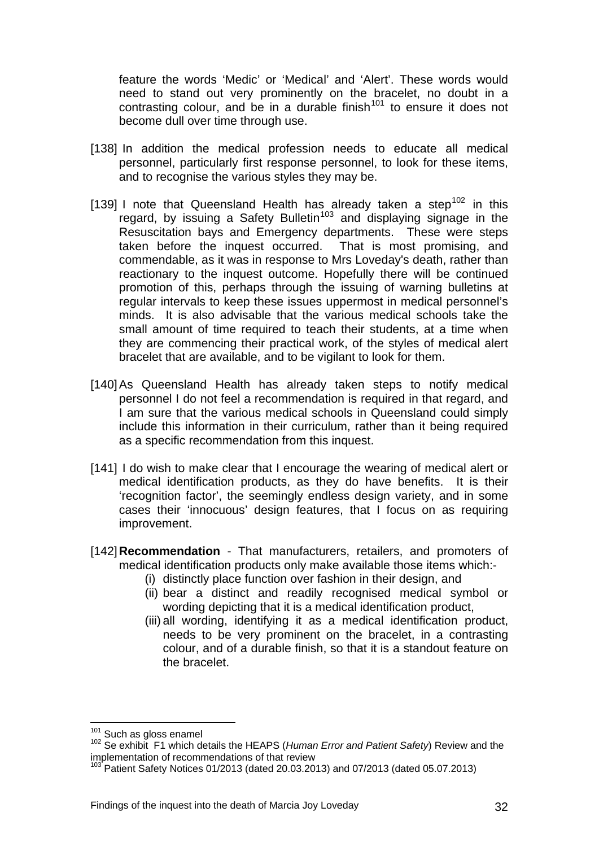feature the words 'Medic' or 'Medical' and 'Alert'. These words would need to stand out very prominently on the bracelet, no doubt in a contrasting colour, and be in a durable finish<sup>101</sup> to ensure it does not become dull over time through use.

- [138] In addition the medical profession needs to educate all medical personnel, particularly first response personnel, to look for these items, and to recognise the various styles they may be.
- [139] I note that Queensland Health has already taken a step<sup>[102](#page-32-0)</sup> in this regard, by issuing a Safety Bulletin<sup>[103](#page-32-1)</sup> and displaying signage in the Resuscitation bays and Emergency departments. These were steps taken before the inquest occurred. That is most promising, and commendable, as it was in response to Mrs Loveday's death, rather than reactionary to the inquest outcome. Hopefully there will be continued promotion of this, perhaps through the issuing of warning bulletins at regular intervals to keep these issues uppermost in medical personnel's minds. It is also advisable that the various medical schools take the small amount of time required to teach their students, at a time when they are commencing their practical work, of the styles of medical alert bracelet that are available, and to be vigilant to look for them.
- [140] As Queensland Health has already taken steps to notify medical personnel I do not feel a recommendation is required in that regard, and I am sure that the various medical schools in Queensland could simply include this information in their curriculum, rather than it being required as a specific recommendation from this inquest.
- [141] I do wish to make clear that I encourage the wearing of medical alert or medical identification products, as they do have benefits. It is their 'recognition factor', the seemingly endless design variety, and in some cases their 'innocuous' design features, that I focus on as requiring improvement.
- [142]**Recommendation** That manufacturers, retailers, and promoters of medical identification products only make available those items which:-
	- (i) distinctly place function over fashion in their design, and
	- (ii) bear a distinct and readily recognised medical symbol or wording depicting that it is a medical identification product,
	- (iii) all wording, identifying it as a medical identification product, needs to be very prominent on the bracelet, in a contrasting colour, and of a durable finish, so that it is a standout feature on the bracelet.

<span id="page-32-2"></span><sup>101</sup> Such as gloss enamel

<span id="page-32-0"></span><sup>&</sup>lt;sup>102</sup> Se exhibit F1 which details the HEAPS (*Human Error and Patient Safety*) Review and the implementation of recommendations of that review

<span id="page-32-1"></span> $103$  Patient Safety Notices 01/2013 (dated 20.03.2013) and 07/2013 (dated 05.07.2013)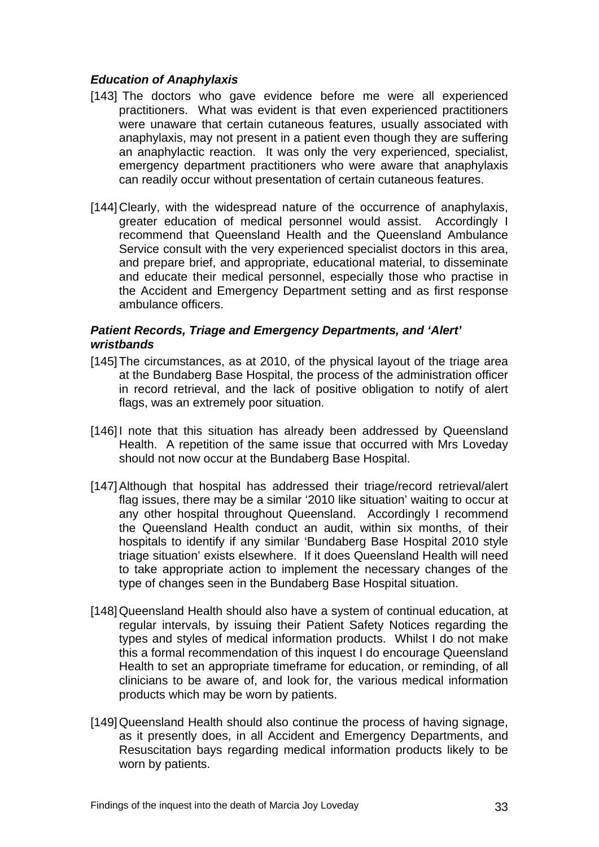#### *Education of Anaphylaxis*

- [143] The doctors who gave evidence before me were all experienced practitioners. What was evident is that even experienced practitioners were unaware that certain cutaneous features, usually associated with anaphylaxis, may not present in a patient even though they are suffering an anaphylactic reaction. It was only the very experienced, specialist, emergency department practitioners who were aware that anaphylaxis can readily occur without presentation of certain cutaneous features.
- [144] Clearly, with the widespread nature of the occurrence of anaphylaxis, greater education of medical personnel would assist. Accordingly I recommend that Queensland Health and the Queensland Ambulance Service consult with the very experienced specialist doctors in this area, and prepare brief, and appropriate, educational material, to disseminate and educate their medical personnel, especially those who practise in the Accident and Emergency Department setting and as first response ambulance officers.

#### *Patient Records, Triage and Emergency Departments, and 'Alert' wristbands*

- [145] The circumstances, as at 2010, of the physical layout of the triage area at the Bundaberg Base Hospital, the process of the administration officer in record retrieval, and the lack of positive obligation to notify of alert flags, was an extremely poor situation.
- [146] I note that this situation has already been addressed by Queensland Health. A repetition of the same issue that occurred with Mrs Loveday should not now occur at the Bundaberg Base Hospital.
- [147] Although that hospital has addressed their triage/record retrieval/alert flag issues, there may be a similar '2010 like situation' waiting to occur at any other hospital throughout Queensland. Accordingly I recommend the Queensland Health conduct an audit, within six months, of their hospitals to identify if any similar 'Bundaberg Base Hospital 2010 style triage situation' exists elsewhere. If it does Queensland Health will need to take appropriate action to implement the necessary changes of the type of changes seen in the Bundaberg Base Hospital situation.
- [148] Queensland Health should also have a system of continual education, at regular intervals, by issuing their Patient Safety Notices regarding the types and styles of medical information products. Whilst I do not make this a formal recommendation of this inquest I do encourage Queensland Health to set an appropriate timeframe for education, or reminding, of all clinicians to be aware of, and look for, the various medical information products which may be worn by patients.
- [149] Queensland Health should also continue the process of having signage, as it presently does, in all Accident and Emergency Departments, and Resuscitation bays regarding medical information products likely to be worn by patients.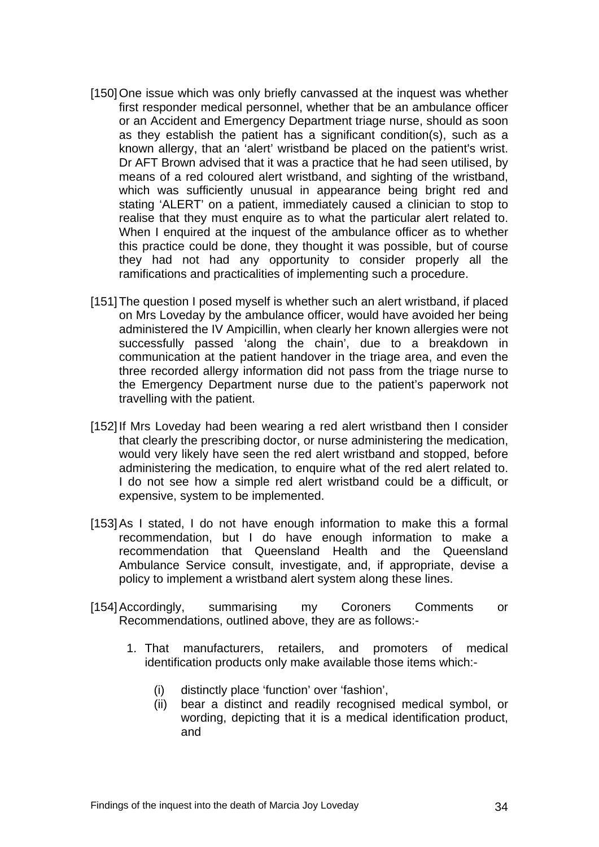- [150] One issue which was only briefly canvassed at the inquest was whether first responder medical personnel, whether that be an ambulance officer or an Accident and Emergency Department triage nurse, should as soon as they establish the patient has a significant condition(s), such as a known allergy, that an 'alert' wristband be placed on the patient's wrist. Dr AFT Brown advised that it was a practice that he had seen utilised, by means of a red coloured alert wristband, and sighting of the wristband, which was sufficiently unusual in appearance being bright red and stating 'ALERT' on a patient, immediately caused a clinician to stop to realise that they must enquire as to what the particular alert related to. When I enquired at the inquest of the ambulance officer as to whether this practice could be done, they thought it was possible, but of course they had not had any opportunity to consider properly all the ramifications and practicalities of implementing such a procedure.
- [151] The question I posed myself is whether such an alert wristband, if placed on Mrs Loveday by the ambulance officer, would have avoided her being administered the IV Ampicillin, when clearly her known allergies were not successfully passed 'along the chain', due to a breakdown in communication at the patient handover in the triage area, and even the three recorded allergy information did not pass from the triage nurse to the Emergency Department nurse due to the patient's paperwork not travelling with the patient.
- [152] If Mrs Loveday had been wearing a red alert wristband then I consider that clearly the prescribing doctor, or nurse administering the medication, would very likely have seen the red alert wristband and stopped, before administering the medication, to enquire what of the red alert related to. I do not see how a simple red alert wristband could be a difficult, or expensive, system to be implemented.
- [153] As I stated, I do not have enough information to make this a formal recommendation, but I do have enough information to make a recommendation that Queensland Health and the Queensland Ambulance Service consult, investigate, and, if appropriate, devise a policy to implement a wristband alert system along these lines.
- [154] Accordingly, summarising my Coroners Comments or Recommendations, outlined above, they are as follows:-
	- 1. That manufacturers, retailers, and promoters of medical identification products only make available those items which:-
		- (i) distinctly place 'function' over 'fashion',
		- (ii) bear a distinct and readily recognised medical symbol, or wording, depicting that it is a medical identification product, and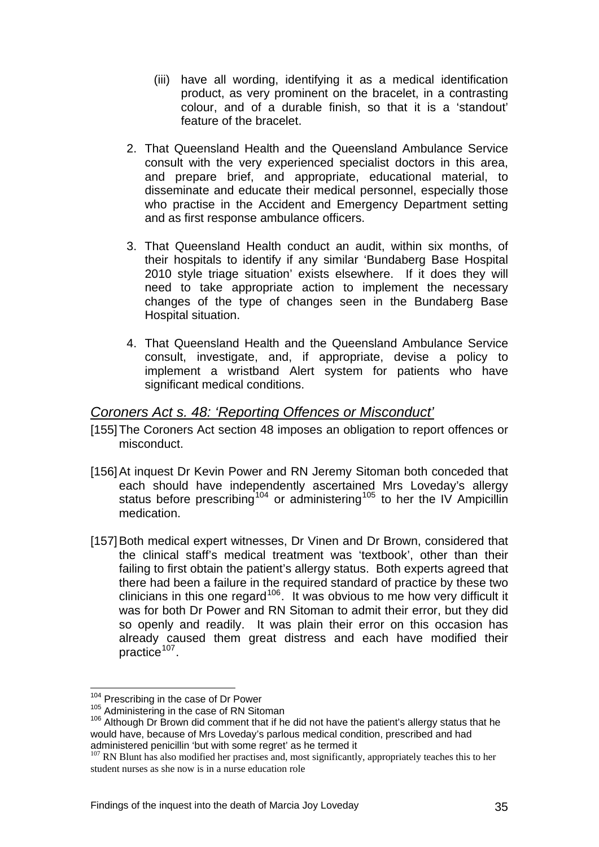- (iii) have all wording, identifying it as a medical identification product, as very prominent on the bracelet, in a contrasting colour, and of a durable finish, so that it is a 'standout' feature of the bracelet.
- 2. That Queensland Health and the Queensland Ambulance Service consult with the very experienced specialist doctors in this area, and prepare brief, and appropriate, educational material, to disseminate and educate their medical personnel, especially those who practise in the Accident and Emergency Department setting and as first response ambulance officers.
- 3. That Queensland Health conduct an audit, within six months, of their hospitals to identify if any similar 'Bundaberg Base Hospital 2010 style triage situation' exists elsewhere. If it does they will need to take appropriate action to implement the necessary changes of the type of changes seen in the Bundaberg Base Hospital situation.
- 4. That Queensland Health and the Queensland Ambulance Service consult, investigate, and, if appropriate, devise a policy to implement a wristband Alert system for patients who have significant medical conditions.

## *Coroners Act s. 48: 'Reporting Offences or Misconduct'*

- [155] The Coroners Act section 48 imposes an obligation to report offences or misconduct.
- [156] At inquest Dr Kevin Power and RN Jeremy Sitoman both conceded that each should have independently ascertained Mrs Loveday's allergy status before prescribing<sup>[104](#page-32-2)</sup> or administering<sup>[105](#page-35-0)</sup> to her the IV Ampicillin medication.
- [157] Both medical expert witnesses, Dr Vinen and Dr Brown, considered that the clinical staff's medical treatment was 'textbook', other than their failing to first obtain the patient's allergy status. Both experts agreed that there had been a failure in the required standard of practice by these two clinicians in this one regard<sup>[106](#page-35-1)</sup>. It was obvious to me how very difficult it was for both Dr Power and RN Sitoman to admit their error, but they did so openly and readily. It was plain their error on this occasion has already caused them great distress and each have modified their practice $107$ .

<sup>&</sup>lt;sup>104</sup> Prescribing in the case of Dr Power

<span id="page-35-1"></span><span id="page-35-0"></span><sup>105</sup> Administering in the case of RN Sitoman<br><sup>106</sup> Although Dr Brown did comment that if he did not have the patient's allergy status that he would have, because of Mrs Loveday's parlous medical condition, prescribed and had administered penicillin 'but with some regret' as he termed it

<span id="page-35-2"></span><sup>&</sup>lt;sup>107</sup> RN Blunt has also modified her practises and, most significantly, appropriately teaches this to her student nurses as she now is in a nurse education role